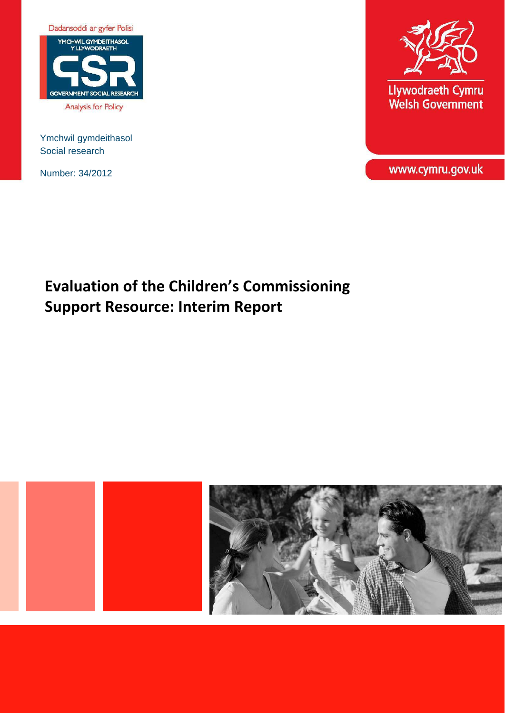

Analysis for Policy

Ymchwil gymdeithasol Social research

Number: 34/2012



Llywodraeth Cymru<br>Welsh Government

www.cymru.gov.uk

# **Evaluation of the Children's Commissioning Support Resource: Interim Report**

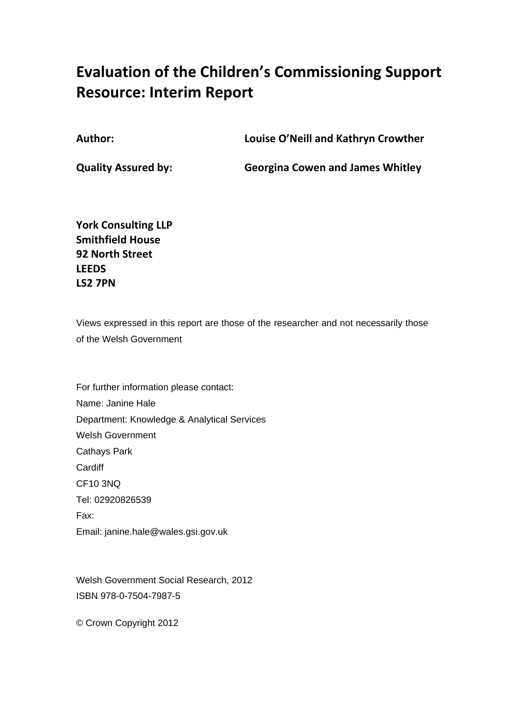# **Evaluation of the Children's Commissioning Support Resource: Interim Report**

**Author: Louise O'Neill and Kathryn Crowther**

**Quality Assured by: Georgina Cowen and James Whitley**

**York Consulting LLP Smithfield House 92 North Street LEEDS LS2 7PN** 

Views expressed in this report are those of the researcher and not necessarily those of the Welsh Government

For further information please contact: Name: Janine Hale Department: Knowledge & Analytical Services Welsh Government Cathays Park **Cardiff** CF10 3NQ Tel: 02920826539 Fax: Email: janine.hale@wales.gsi.gov.uk

Welsh Government Social Research, 2012 ISBN 978-0-7504-7987-5

© Crown Copyright 2012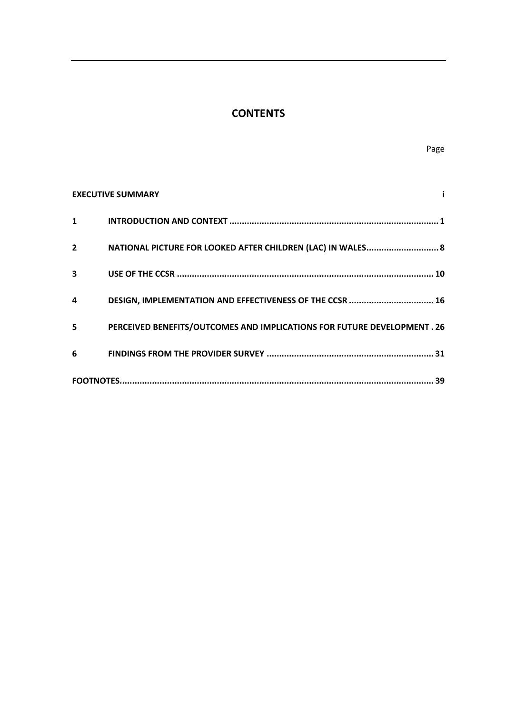# **CONTENTS**

|                | <b>EXECUTIVE SUMMARY</b>                                                       |  |
|----------------|--------------------------------------------------------------------------------|--|
| $\mathbf{1}$   |                                                                                |  |
| $\overline{2}$ | NATIONAL PICTURE FOR LOOKED AFTER CHILDREN (LAC) IN WALES 8                    |  |
| 3              |                                                                                |  |
| 4              | DESIGN, IMPLEMENTATION AND EFFECTIVENESS OF THE CCSR  16                       |  |
| 5              | <b>PERCEIVED BENEFITS/OUTCOMES AND IMPLICATIONS FOR FUTURE DEVELOPMENT. 26</b> |  |
| 6              |                                                                                |  |
|                |                                                                                |  |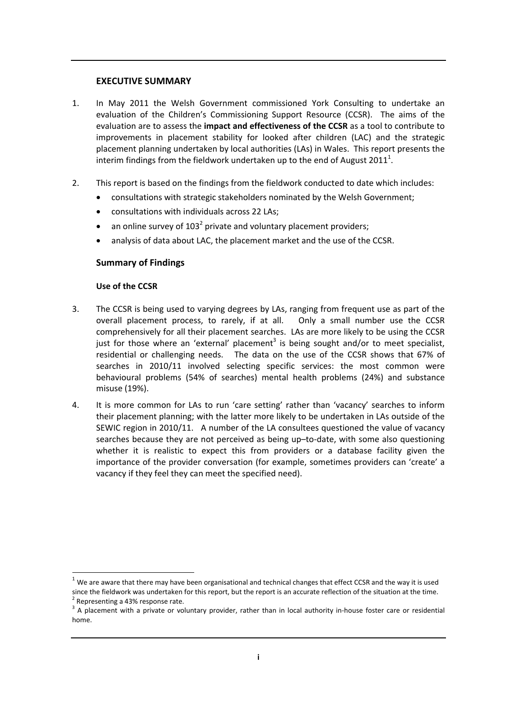#### **EXECUTIVE SUMMARY**

- 1. In May 2011 the Welsh Government commissioned York Consulting to undertake an evaluation of the Children's Commissioning Support Resource (CCSR). The aims of the evaluation are to assess the **impact and effectiveness of the CCSR** as a tool to contribute to improvements in placement stability for looked after children (LAC) and the strategic placement planning undertaken by local authorities (LAs) in Wales. This report presents the interim findings from the fieldwork undertaken up to the end of August 2011<sup>1</sup>.
- 2. This report is based on the findings from the fieldwork conducted to date which includes:
	- consultations with strategic stakeholders nominated by the Welsh Government;
	- consultations with individuals across 22 LAs;
	- an online survey of  $103<sup>2</sup>$  private and voluntary placement providers;
	- analysis of data about LAC, the placement market and the use of the CCSR.

#### **Summary of Findings**

#### **Use of the CCSR**

- 3. The CCSR is being used to varying degrees by LAs, ranging from frequent use as part of the overall placement process, to rarely, if at all. Only a small number use the CCSR comprehensively for all their placement searches. LAs are more likely to be using the CCSR just for those where an 'external' placement<sup>3</sup> is being sought and/or to meet specialist, residential or challenging needs. The data on the use of the CCSR shows that 67% of searches in 2010/11 involved selecting specific services: the most common were behavioural problems (54% of searches) mental health problems (24%) and substance misuse (19%).
- 4. It is more common for LAs to run 'care setting' rather than 'vacancy' searches to inform their placement planning; with the latter more likely to be undertaken in LAs outside of the SEWIC region in 2010/11. A number of the LA consultees questioned the value of vacancy searches because they are not perceived as being up–to-date, with some also questioning whether it is realistic to expect this from providers or a database facility given the importance of the provider conversation (for example, sometimes providers can 'create' a vacancy if they feel they can meet the specified need).

 $\overline{1}$ 

 $1$  We are aware that there may have been organisational and technical changes that effect CCSR and the way it is used since the fieldwork was undertaken for this report, but the report is an accurate reflection of the situation at the time.<br>
<sup>2</sup> Representing a 43% response rate.<br>
<sup>3</sup> A placement with a private or voluntary provider, rath

home.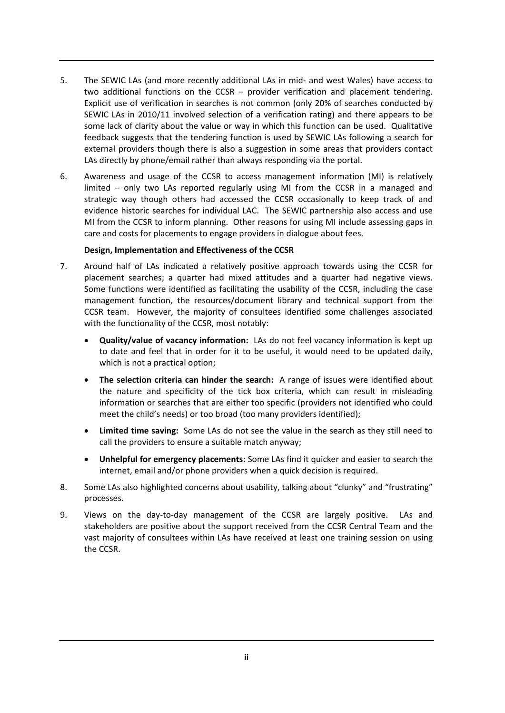- 5. The SEWIC LAs (and more recently additional LAs in mid- and west Wales) have access to two additional functions on the CCSR – provider verification and placement tendering. Explicit use of verification in searches is not common (only 20% of searches conducted by SEWIC LAs in 2010/11 involved selection of a verification rating) and there appears to be some lack of clarity about the value or way in which this function can be used. Qualitative feedback suggests that the tendering function is used by SEWIC LAs following a search for external providers though there is also a suggestion in some areas that providers contact LAs directly by phone/email rather than always responding via the portal.
- 6. Awareness and usage of the CCSR to access management information (MI) is relatively limited – only two LAs reported regularly using MI from the CCSR in a managed and strategic way though others had accessed the CCSR occasionally to keep track of and evidence historic searches for individual LAC. The SEWIC partnership also access and use MI from the CCSR to inform planning. Other reasons for using MI include assessing gaps in care and costs for placements to engage providers in dialogue about fees.

#### **Design, Implementation and Effectiveness of the CCSR**

- 7. Around half of LAs indicated a relatively positive approach towards using the CCSR for placement searches; a quarter had mixed attitudes and a quarter had negative views. Some functions were identified as facilitating the usability of the CCSR, including the case management function, the resources/document library and technical support from the CCSR team. However, the majority of consultees identified some challenges associated with the functionality of the CCSR, most notably:
	- **Quality/value of vacancy information:** LAs do not feel vacancy information is kept up to date and feel that in order for it to be useful, it would need to be updated daily, which is not a practical option;
	- **The selection criteria can hinder the search:** A range of issues were identified about the nature and specificity of the tick box criteria, which can result in misleading information or searches that are either too specific (providers not identified who could meet the child's needs) or too broad (too many providers identified);
	- **Limited time saving:** Some LAs do not see the value in the search as they still need to call the providers to ensure a suitable match anyway;
	- **Unhelpful for emergency placements:** Some LAs find it quicker and easier to search the internet, email and/or phone providers when a quick decision is required.
- 8. Some LAs also highlighted concerns about usability, talking about "clunky" and "frustrating" processes.
- 9. Views on the day-to-day management of the CCSR are largely positive. LAs and stakeholders are positive about the support received from the CCSR Central Team and the vast majority of consultees within LAs have received at least one training session on using the CCSR.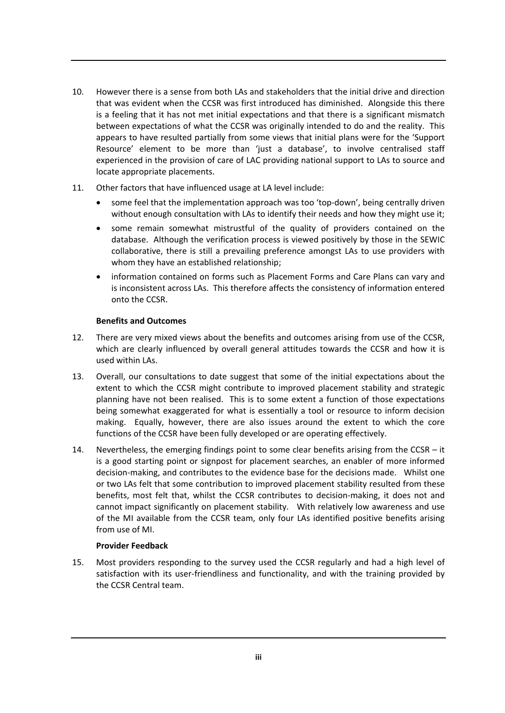- 10. However there is a sense from both LAs and stakeholders that the initial drive and direction that was evident when the CCSR was first introduced has diminished. Alongside this there is a feeling that it has not met initial expectations and that there is a significant mismatch between expectations of what the CCSR was originally intended to do and the reality. This appears to have resulted partially from some views that initial plans were for the 'Support Resource' element to be more than 'just a database', to involve centralised staff experienced in the provision of care of LAC providing national support to LAs to source and locate appropriate placements.
- 11. Other factors that have influenced usage at LA level include:
	- some feel that the implementation approach was too 'top-down', being centrally driven without enough consultation with LAs to identify their needs and how they might use it;
	- some remain somewhat mistrustful of the quality of providers contained on the database. Although the verification process is viewed positively by those in the SEWIC collaborative, there is still a prevailing preference amongst LAs to use providers with whom they have an established relationship;
	- information contained on forms such as Placement Forms and Care Plans can vary and is inconsistent across LAs. This therefore affects the consistency of information entered onto the CCSR.

#### **Benefits and Outcomes**

- 12. There are very mixed views about the benefits and outcomes arising from use of the CCSR, which are clearly influenced by overall general attitudes towards the CCSR and how it is used within LAs.
- 13. Overall, our consultations to date suggest that some of the initial expectations about the extent to which the CCSR might contribute to improved placement stability and strategic planning have not been realised. This is to some extent a function of those expectations being somewhat exaggerated for what is essentially a tool or resource to inform decision making. Equally, however, there are also issues around the extent to which the core functions of the CCSR have been fully developed or are operating effectively.
- 14. Nevertheless, the emerging findings point to some clear benefits arising from the CCSR it is a good starting point or signpost for placement searches, an enabler of more informed decision‐making, and contributes to the evidence base for the decisions made. Whilst one or two LAs felt that some contribution to improved placement stability resulted from these benefits, most felt that, whilst the CCSR contributes to decision-making, it does not and cannot impact significantly on placement stability. With relatively low awareness and use of the MI available from the CCSR team, only four LAs identified positive benefits arising from use of MI.

#### **Provider Feedback**

15. Most providers responding to the survey used the CCSR regularly and had a high level of satisfaction with its user-friendliness and functionality, and with the training provided by the CCSR Central team.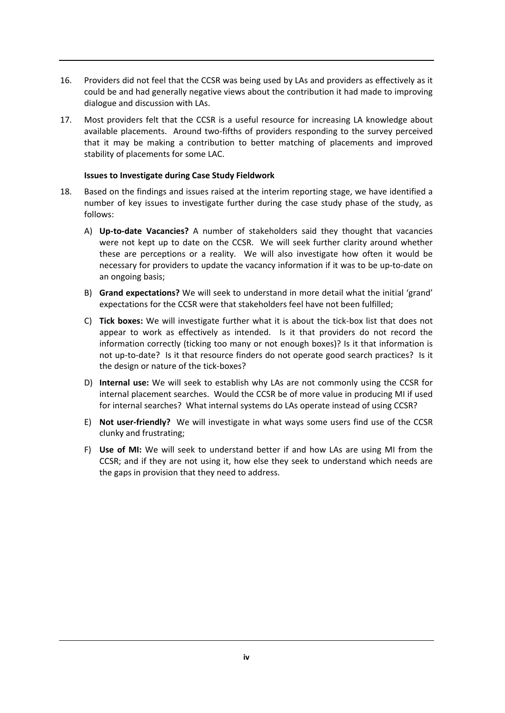- 16. Providers did not feel that the CCSR was being used by LAs and providers as effectively as it could be and had generally negative views about the contribution it had made to improving dialogue and discussion with LAs.
- 17. Most providers felt that the CCSR is a useful resource for increasing LA knowledge about available placements. Around two‐fifths of providers responding to the survey perceived that it may be making a contribution to better matching of placements and improved stability of placements for some LAC.

#### **Issues to Investigate during Case Study Fieldwork**

- 18. Based on the findings and issues raised at the interim reporting stage, we have identified a number of key issues to investigate further during the case study phase of the study, as follows:
	- A) **Up‐to‐date Vacancies?** A number of stakeholders said they thought that vacancies were not kept up to date on the CCSR. We will seek further clarity around whether these are perceptions or a reality. We will also investigate how often it would be necessary for providers to update the vacancy information if it was to be up-to-date on an ongoing basis;
	- B) **Grand expectations?** We will seek to understand in more detail what the initial 'grand' expectations for the CCSR were that stakeholders feel have not been fulfilled;
	- C) **Tick boxes:** We will investigate further what it is about the tick‐box list that does not appear to work as effectively as intended. Is it that providers do not record the information correctly (ticking too many or not enough boxes)? Is it that information is not up-to-date? Is it that resource finders do not operate good search practices? Is it the design or nature of the tick‐boxes?
	- D) **Internal use:** We will seek to establish why LAs are not commonly using the CCSR for internal placement searches. Would the CCSR be of more value in producing MI if used for internal searches? What internal systems do LAs operate instead of using CCSR?
	- E) **Not user‐friendly?** We will investigate in what ways some users find use of the CCSR clunky and frustrating;
	- F) **Use of MI:** We will seek to understand better if and how LAs are using MI from the CCSR; and if they are not using it, how else they seek to understand which needs are the gaps in provision that they need to address.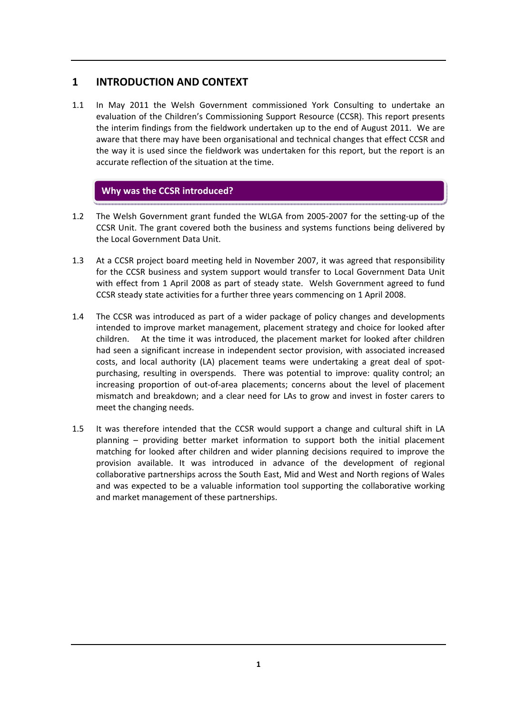# **1 INTRODUCTION AND CONTEXT**

1.1 In May 2011 the Welsh Government commissioned York Consulting to undertake an evaluation of the Children's Commissioning Support Resource (CCSR). This report presents the interim findings from the fieldwork undertaken up to the end of August 2011. We are aware that there may have been organisational and technical changes that effect CCSR and the way it is used since the fieldwork was undertaken for this report, but the report is an accurate reflection of the situation at the time.

# **Why was the CCSR introduced?**

- 1.2 The Welsh Government grant funded the WLGA from 2005‐2007 for the setting‐up of the CCSR Unit. The grant covered both the business and systems functions being delivered by the Local Government Data Unit.
- 1.3 At a CCSR project board meeting held in November 2007, it was agreed that responsibility for the CCSR business and system support would transfer to Local Government Data Unit with effect from 1 April 2008 as part of steady state. Welsh Government agreed to fund CCSR steady state activities for a further three years commencing on 1 April 2008.
- 1.4 The CCSR was introduced as part of a wider package of policy changes and developments intended to improve market management, placement strategy and choice for looked after children. At the time it was introduced, the placement market for looked after children had seen a significant increase in independent sector provision, with associated increased costs, and local authority (LA) placement teams were undertaking a great deal of spot‐ purchasing, resulting in overspends. There was potential to improve: quality control; an increasing proportion of out‐of‐area placements; concerns about the level of placement mismatch and breakdown; and a clear need for LAs to grow and invest in foster carers to meet the changing needs.
- 1.5 It was therefore intended that the CCSR would support a change and cultural shift in LA planning – providing better market information to support both the initial placement matching for looked after children and wider planning decisions required to improve the provision available. It was introduced in advance of the development of regional collaborative partnerships across the South East, Mid and West and North regions of Wales and was expected to be a valuable information tool supporting the collaborative working and market management of these partnerships.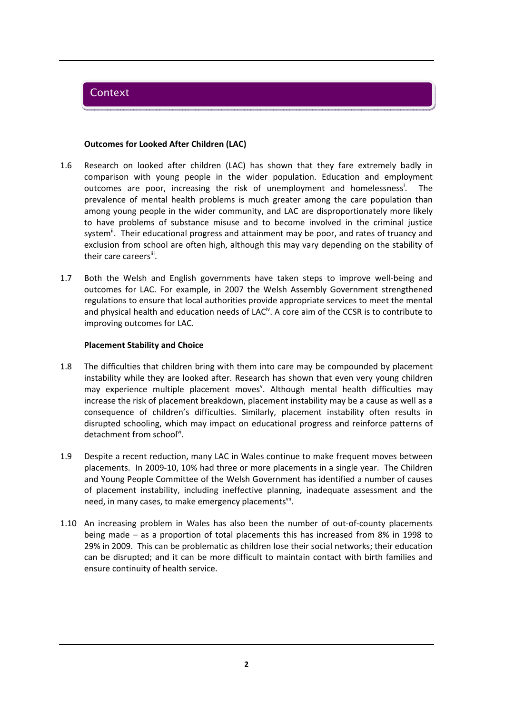# **Context**

#### **Outcomes for Looked After Children (LAC)**

- 1.6 Research on looked after children (LAC) has shown that they fare extremely badly in comparison with young people in the wider population. Education and employment outcomes are poor, increasing the risk of unemployment and homelessness'. . The prevalence of mental health problems is much greater among the care population than among young people in the wider community, and LAC are disproportionately more likely to have problems of substance misuse and to become involved in the criminal justice system<sup>ii</sup>. Their educational progress and attainment may be poor, and rates of truancy and exclusion from school are often high, although this may vary depending on the stability of their care careers"<sup>.</sup>
- 1.7 Both the Welsh and English governments have taken steps to improve well-being and outcomes for LAC. For example, in 2007 the Welsh Assembly Government strengthened regulations to ensure that local authorities provide appropriate services to meet the mental and physical health and education needs of LAC<sup>iv</sup>. A core aim of the CCSR is to contribute to improving outcomes for LAC.

#### **Placement Stability and Choice**

- 1.8 The difficulties that children bring with them into care may be compounded by placement instability while they are looked after. Research has shown that even very young children may experience multiple placement moves<sup>v</sup>. Although mental health difficulties may increase the risk of placement breakdown, placement instability may be a cause as well as a consequence of children's difficulties. Similarly, placement instability often results in disrupted schooling, which may impact on educational progress and reinforce patterns of detachment from school<sup>vi</sup>.
- 1.9 Despite a recent reduction, many LAC in Wales continue to make frequent moves between placements. In 2009‐10, 10% had three or more placements in a single year. The Children and Young People Committee of the Welsh Government has identified a number of causes of placement instability, including ineffective planning, inadequate assessment and the need, in many cases, to make emergency placements<sup>vii</sup>.
- 1.10 An increasing problem in Wales has also been the number of out-of-county placements being made – as a proportion of total placements this has increased from 8% in 1998 to 29% in 2009. This can be problematic as children lose their social networks; their education can be disrupted; and it can be more difficult to maintain contact with birth families and ensure continuity of health service.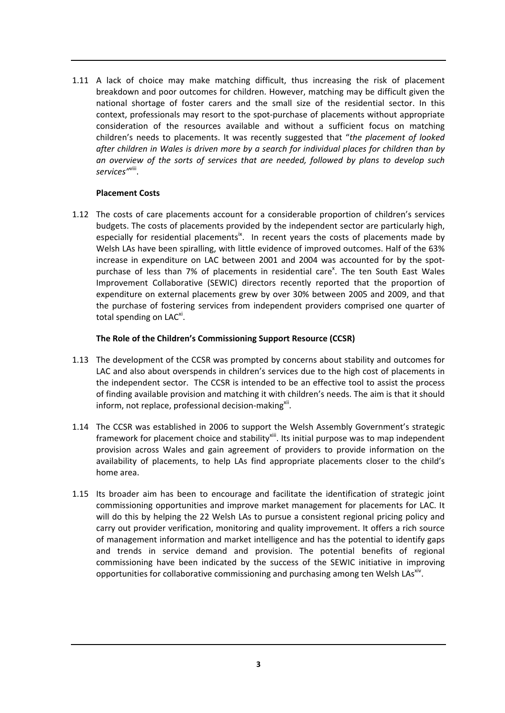1.11 A lack of choice may make matching difficult, thus increasing the risk of placement breakdown and poor outcomes for children. However, matching may be difficult given the national shortage of foster carers and the small size of the residential sector. In this context, professionals may resort to the spot‐purchase of placements without appropriate consideration of the resources available and without a sufficient focus on matching children's needs to placements. It was recently suggested that "*the placement of looked after children in Wales is driven more by a search for individual places for children than by an overview of the sorts of services that are needed, followed by plans to develop such services"*viii.

#### **Placement Costs**

1.12 The costs of care placements account for a considerable proportion of children's services budgets. The costs of placements provided by the independent sector are particularly high, especially for residential placements<sup>ix</sup>. In recent years the costs of placements made by Welsh LAs have been spiralling, with little evidence of improved outcomes. Half of the 63% increase in expenditure on LAC between 2001 and 2004 was accounted for by the spotpurchase of less than 7% of placements in residential care<sup>x</sup>. The ten South East Wales Improvement Collaborative (SEWIC) directors recently reported that the proportion of expenditure on external placements grew by over 30% between 2005 and 2009, and that the purchase of fostering services from independent providers comprised one quarter of total spending on LAC<sup>xi</sup>.

## **The Role of the Children's Commissioning Support Resource (CCSR)**

- 1.13 The development of the CCSR was prompted by concerns about stability and outcomes for LAC and also about overspends in children's services due to the high cost of placements in the independent sector. The CCSR is intended to be an effective tool to assist the process of finding available provision and matching it with children's needs. The aim is that it should inform, not replace, professional decision-making<sup>xii</sup>.
- 1.14 The CCSR was established in 2006 to support the Welsh Assembly Government's strategic framework for placement choice and stability<sup>xiii</sup>. Its initial purpose was to map independent provision across Wales and gain agreement of providers to provide information on the availability of placements, to help LAs find appropriate placements closer to the child's home area.
- 1.15 Its broader aim has been to encourage and facilitate the identification of strategic joint commissioning opportunities and improve market management for placements for LAC. It will do this by helping the 22 Welsh LAs to pursue a consistent regional pricing policy and carry out provider verification, monitoring and quality improvement. It offers a rich source of management information and market intelligence and has the potential to identify gaps and trends in service demand and provision. The potential benefits of regional commissioning have been indicated by the success of the SEWIC initiative in improving opportunities for collaborative commissioning and purchasing among ten Welsh  $\text{Las}^{\text{xiv}}$ .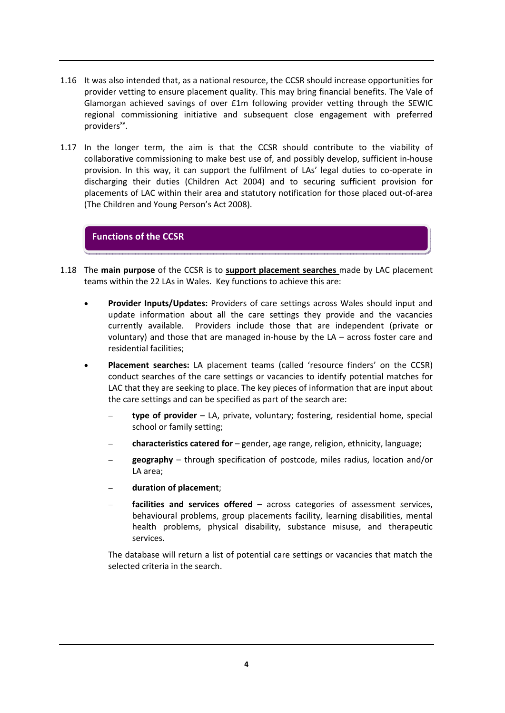- 1.16 It was also intended that, as a national resource, the CCSR should increase opportunities for provider vetting to ensure placement quality. This may bring financial benefits. The Vale of Glamorgan achieved savings of over £1m following provider vetting through the SEWIC regional commissioning initiative and subsequent close engagement with preferred  $provides^{xv}$ .
- 1.17 In the longer term, the aim is that the CCSR should contribute to the viability of collaborative commissioning to make best use of, and possibly develop, sufficient in‐house provision. In this way, it can support the fulfilment of LAs' legal duties to co-operate in discharging their duties (Children Act 2004) and to securing sufficient provision for placements of LAC within their area and statutory notification for those placed out‐of‐area (The Children and Young Person's Act 2008).

# **Functions of the CCSR**

- 1.18 The **main purpose** of the CCSR is to **support placement searches** made by LAC placement teams within the 22 LAs in Wales. Key functions to achieve this are:
	- **Provider Inputs/Updates:** Providers of care settings across Wales should input and update information about all the care settings they provide and the vacancies currently available. Providers include those that are independent (private or voluntary) and those that are managed in-house by the  $LA$  – across foster care and residential facilities;
	- **Placement searches:** LA placement teams (called 'resource finders' on the CCSR) conduct searches of the care settings or vacancies to identify potential matches for LAC that they are seeking to place. The key pieces of information that are input about the care settings and can be specified as part of the search are:
		- − **type of provider** LA, private, voluntary; fostering, residential home, special school or family setting;
		- − **characteristics catered for** gender, age range, religion, ethnicity, language;
		- − **geography** through specification of postcode, miles radius, location and/or LA area;
		- − **duration of placement**;
		- − **facilities and services offered** across categories of assessment services, behavioural problems, group placements facility, learning disabilities, mental health problems, physical disability, substance misuse, and therapeutic services.

The database will return a list of potential care settings or vacancies that match the selected criteria in the search.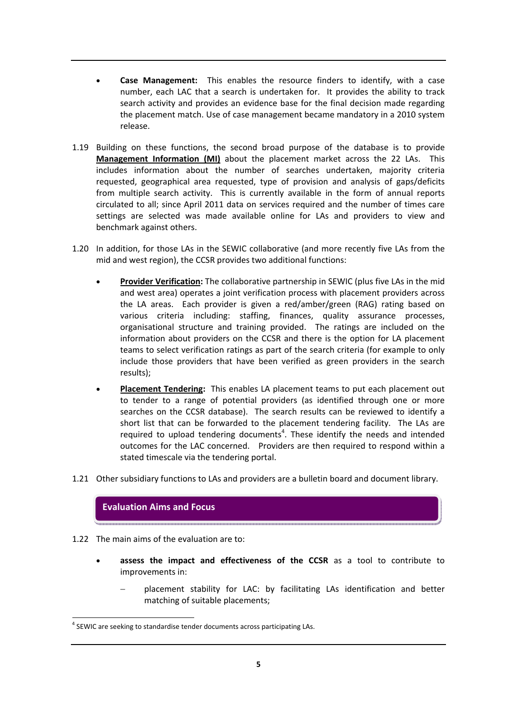- **Case Management:**  This enables the resource finders to identify, with a case number, each LAC that a search is undertaken for. It provides the ability to track search activity and provides an evidence base for the final decision made regarding the placement match. Use of case management became mandatory in a 2010 system release.
- 1.19 Building on these functions, the second broad purpose of the database is to provide **Management Information (MI)** about the placement market across the 22 LAs. This includes information about the number of searches undertaken, majority criteria requested, geographical area requested, type of provision and analysis of gaps/deficits from multiple search activity. This is currently available in the form of annual reports circulated to all; since April 2011 data on services required and the number of times care settings are selected was made available online for LAs and providers to view and benchmark against others.
- 1.20 In addition, for those LAs in the SEWIC collaborative (and more recently five LAs from the mid and west region), the CCSR provides two additional functions:
	- **Provider Verification:** The collaborative partnership in SEWIC (plus five LAs in the mid and west area) operates a joint verification process with placement providers across the LA areas. Each provider is given a red/amber/green (RAG) rating based on various criteria including: staffing, finances, quality assurance processes, organisational structure and training provided. The ratings are included on the information about providers on the CCSR and there is the option for LA placement teams to select verification ratings as part of the search criteria (for example to only include those providers that have been verified as green providers in the search results);
	- **Placement Tendering:** This enables LA placement teams to put each placement out to tender to a range of potential providers (as identified through one or more searches on the CCSR database). The search results can be reviewed to identify a short list that can be forwarded to the placement tendering facility. The LAs are required to upload tendering documents<sup>4</sup>. These identify the needs and intended outcomes for the LAC concerned. Providers are then required to respond within a stated timescale via the tendering portal.
- 1.21 Other subsidiary functions to LAs and providers are a bulletin board and document library.



- 1.22 The main aims of the evaluation are to:
	- **assess the impact and effectiveness of the CCSR** as a tool to contribute to improvements in:
		- placement stability for LAC: by facilitating LAs identification and better matching of suitable placements;

 <sup>4</sup> SEWIC are seeking to standardise tender documents across participating LAs.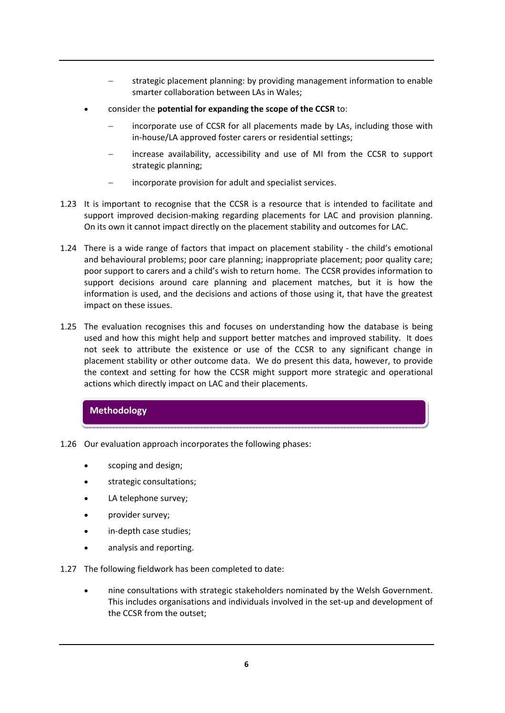- − strategic placement planning: by providing management information to enable smarter collaboration between LAs in Wales;
- consider the **potential for expanding the scope of the CCSR** to:
	- incorporate use of CCSR for all placements made by LAs, including those with in‐house/LA approved foster carers or residential settings;
	- increase availability, accessibility and use of MI from the CCSR to support strategic planning;
	- incorporate provision for adult and specialist services.
- 1.23 It is important to recognise that the CCSR is a resource that is intended to facilitate and support improved decision-making regarding placements for LAC and provision planning. On its own it cannot impact directly on the placement stability and outcomes for LAC.
- 1.24 There is a wide range of factors that impact on placement stability the child's emotional and behavioural problems; poor care planning; inappropriate placement; poor quality care; poor support to carers and a child's wish to return home. The CCSR provides information to support decisions around care planning and placement matches, but it is how the information is used, and the decisions and actions of those using it, that have the greatest impact on these issues.
- 1.25 The evaluation recognises this and focuses on understanding how the database is being used and how this might help and support better matches and improved stability. It does not seek to attribute the existence or use of the CCSR to any significant change in placement stability or other outcome data. We do present this data, however, to provide the context and setting for how the CCSR might support more strategic and operational actions which directly impact on LAC and their placements.

# **Methodology**

- 1.26 Our evaluation approach incorporates the following phases:
	- scoping and design;
	- strategic consultations;
	- LA telephone survey;
	- provider survey;
	- in-depth case studies;
	- analysis and reporting.
- 1.27 The following fieldwork has been completed to date:
	- nine consultations with strategic stakeholders nominated by the Welsh Government. This includes organisations and individuals involved in the set‐up and development of the CCSR from the outset;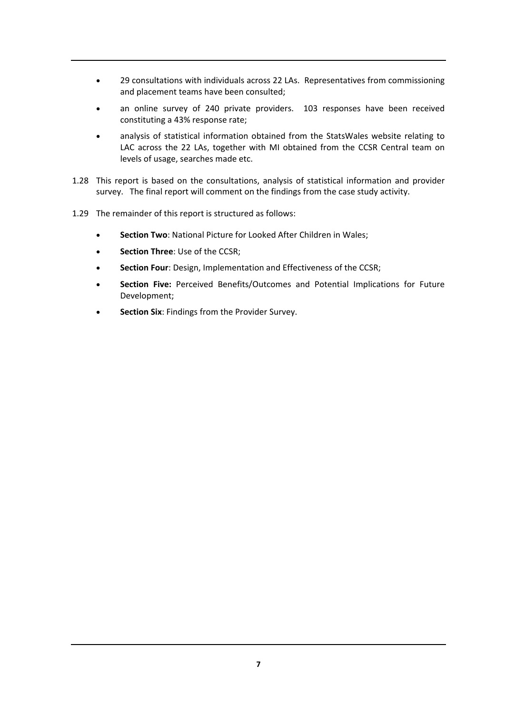- 29 consultations with individuals across 22 LAs. Representatives from commissioning and placement teams have been consulted;
- an online survey of 240 private providers. 103 responses have been received constituting a 43% response rate;
- analysis of statistical information obtained from the StatsWales website relating to LAC across the 22 LAs, together with MI obtained from the CCSR Central team on levels of usage, searches made etc.
- 1.28 This report is based on the consultations, analysis of statistical information and provider survey. The final report will comment on the findings from the case study activity.
- 1.29 The remainder of this report is structured as follows:
	- **Section Two**: National Picture for Looked After Children in Wales;
	- **Section Three**: Use of the CCSR;
	- **Section Four**: Design, Implementation and Effectiveness of the CCSR;
	- **Section Five:** Perceived Benefits/Outcomes and Potential Implications for Future Development;
	- **Section Six**: Findings from the Provider Survey.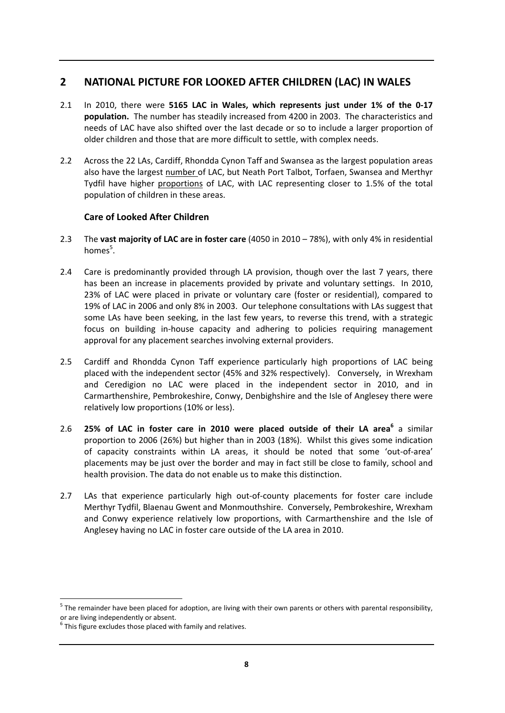# **2 NATIONAL PICTURE FOR LOOKED AFTER CHILDREN (LAC) IN WALES**

- 2.1 In 2010, there were **5165 LAC in Wales, which represents just under 1% of the 0‐17 population.** The number has steadily increased from 4200 in 2003. The characteristics and needs of LAC have also shifted over the last decade or so to include a larger proportion of older children and those that are more difficult to settle, with complex needs.
- 2.2 Across the 22 LAs, Cardiff, Rhondda Cynon Taff and Swansea as the largest population areas also have the largest number of LAC, but Neath Port Talbot, Torfaen, Swansea and Merthyr Tydfil have higher proportions of LAC, with LAC representing closer to 1.5% of the total population of children in these areas.

# **Care of Looked After Children**

- 2.3 The **vast majority of LAC are in foster care** (4050 in 2010 78%), with only 4% in residential homes<sup>5</sup>.
- 2.4 Care is predominantly provided through LA provision, though over the last 7 years, there has been an increase in placements provided by private and voluntary settings. In 2010, 23% of LAC were placed in private or voluntary care (foster or residential), compared to 19% of LAC in 2006 and only 8% in 2003. Our telephone consultations with LAs suggest that some LAs have been seeking, in the last few years, to reverse this trend, with a strategic focus on building in‐house capacity and adhering to policies requiring management approval for any placement searches involving external providers.
- 2.5 Cardiff and Rhondda Cynon Taff experience particularly high proportions of LAC being placed with the independent sector (45% and 32% respectively). Conversely, in Wrexham and Ceredigion no LAC were placed in the independent sector in 2010, and in Carmarthenshire, Pembrokeshire, Conwy, Denbighshire and the Isle of Anglesey there were relatively low proportions (10% or less).
- 2.6 **25% of LAC in foster care in 2010 were placed outside of their LA area<sup>6</sup>** a similar proportion to 2006 (26%) but higher than in 2003 (18%). Whilst this gives some indication of capacity constraints within LA areas, it should be noted that some 'out‐of‐area' placements may be just over the border and may in fact still be close to family, school and health provision. The data do not enable us to make this distinction.
- 2.7 LAs that experience particularly high out-of-county placements for foster care include Merthyr Tydfil, Blaenau Gwent and Monmouthshire. Conversely, Pembrokeshire, Wrexham and Conwy experience relatively low proportions, with Carmarthenshire and the Isle of Anglesey having no LAC in foster care outside of the LA area in 2010.

 $\overline{a}$  $5$  The remainder have been placed for adoption, are living with their own parents or others with parental responsibility,

or are living independently or absent.<br> $6$  This figure excludes those placed with family and relatives.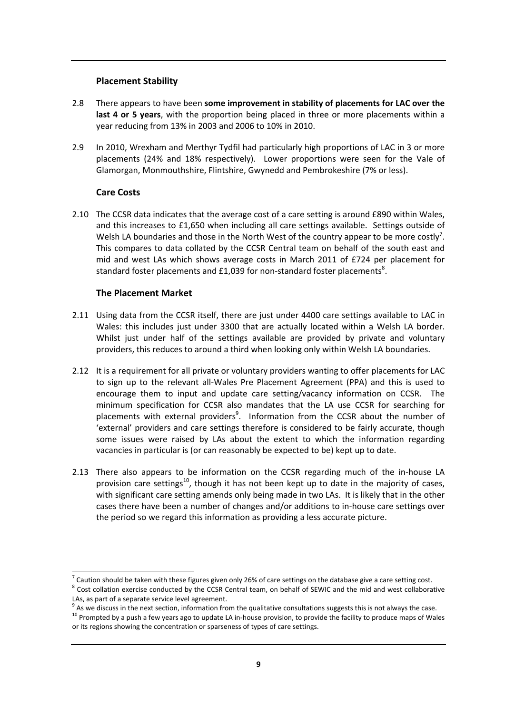## **Placement Stability**

- 2.8 There appears to have been **some improvement in stability of placements for LAC over the last 4 or 5 years**, with the proportion being placed in three or more placements within a year reducing from 13% in 2003 and 2006 to 10% in 2010.
- 2.9 In 2010, Wrexham and Merthyr Tydfil had particularly high proportions of LAC in 3 or more placements (24% and 18% respectively). Lower proportions were seen for the Vale of Glamorgan, Monmouthshire, Flintshire, Gwynedd and Pembrokeshire (7% or less).

## **Care Costs**

-

2.10 The CCSR data indicates that the average cost of a care setting is around £890 within Wales, and this increases to £1,650 when including all care settings available. Settings outside of Welsh LA boundaries and those in the North West of the country appear to be more costly<sup>7</sup>. This compares to data collated by the CCSR Central team on behalf of the south east and mid and west LAs which shows average costs in March 2011 of £724 per placement for standard foster placements and £1,039 for non-standard foster placements<sup>8</sup>.

## **The Placement Market**

- 2.11 Using data from the CCSR itself, there are just under 4400 care settings available to LAC in Wales: this includes just under 3300 that are actually located within a Welsh LA border. Whilst just under half of the settings available are provided by private and voluntary providers, this reduces to around a third when looking only within Welsh LA boundaries.
- 2.12 It is a requirement for all private or voluntary providers wanting to offer placements for LAC to sign up to the relevant all‐Wales Pre Placement Agreement (PPA) and this is used to encourage them to input and update care setting/vacancy information on CCSR. The minimum specification for CCSR also mandates that the LA use CCSR for searching for placements with external providers<sup>9</sup>. Information from the CCSR about the number of 'external' providers and care settings therefore is considered to be fairly accurate, though some issues were raised by LAs about the extent to which the information regarding vacancies in particular is (or can reasonably be expected to be) kept up to date.
- 2.13 There also appears to be information on the CCSR regarding much of the in-house LA provision care settings<sup>10</sup>, though it has not been kept up to date in the majority of cases, with significant care setting amends only being made in two LAs. It is likely that in the other cases there have been a number of changes and/or additions to in‐house care settings over the period so we regard this information as providing a less accurate picture.

 $^7$  Caution should be taken with these figures given only 26% of care settings on the database give a care setting cost.<br>  $^8$  Cost collation exercise conducted by the CCSR Central team, on behalf of SEWIC and the mid an

LAs, as part of a separate service level agreement.<br><sup>9</sup> As we discuss in the next section, information from the qualitative consultations suggests this is not always the case.<br><sup>10</sup> Prompted by a push a few years ago to up or its regions showing the concentration or sparseness of types of care settings.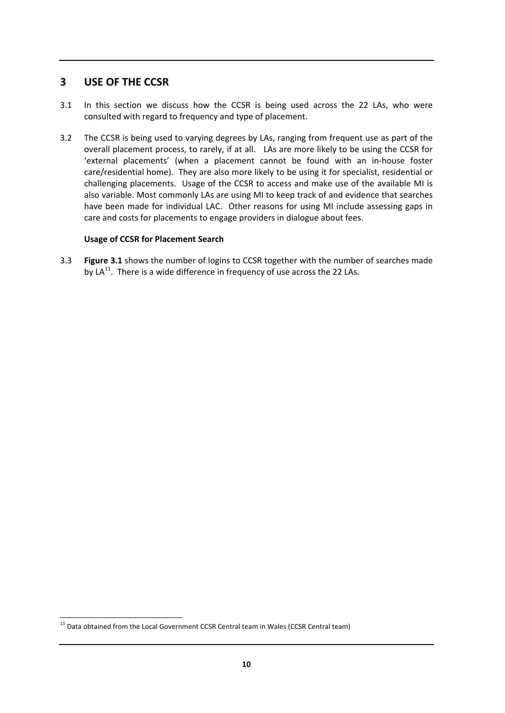# **3 USE OF THE CCSR**

- 3.1 In this section we discuss how the CCSR is being used across the 22 LAs, who were consulted with regard to frequency and type of placement.
- 3.2 The CCSR is being used to varying degrees by LAs, ranging from frequent use as part of the overall placement process, to rarely, if at all. LAs are more likely to be using the CCSR for 'external placements' (when a placement cannot be found with an in‐house foster care/residential home). They are also more likely to be using it for specialist, residential or challenging placements. Usage of the CCSR to access and make use of the available MI is also variable. Most commonly LAs are using MI to keep track of and evidence that searches have been made for individual LAC. Other reasons for using MI include assessing gaps in care and costs for placements to engage providers in dialogue about fees.

#### **Usage of CCSR for Placement Search**

3.3 **Figure 3.1** shows the number of logins to CCSR together with the number of searches made by LA $^{11}$ . There is a wide difference in frequency of use across the 22 LAs.

 $\overline{a}$  $11$  Data obtained from the Local Government CCSR Central team in Wales (CCSR Central team)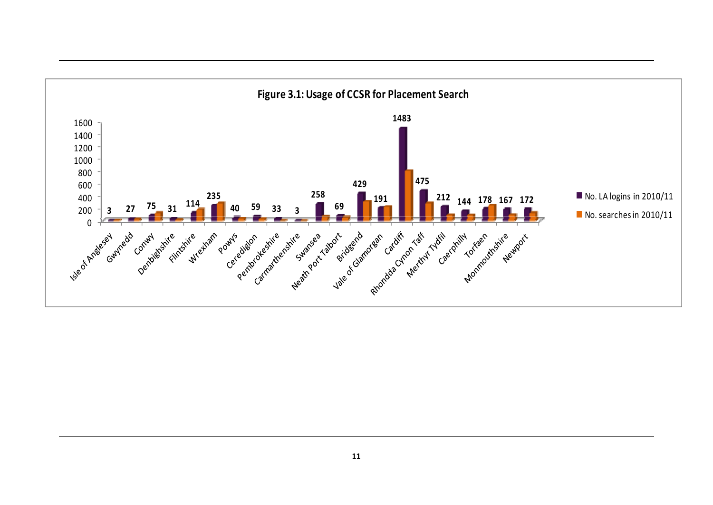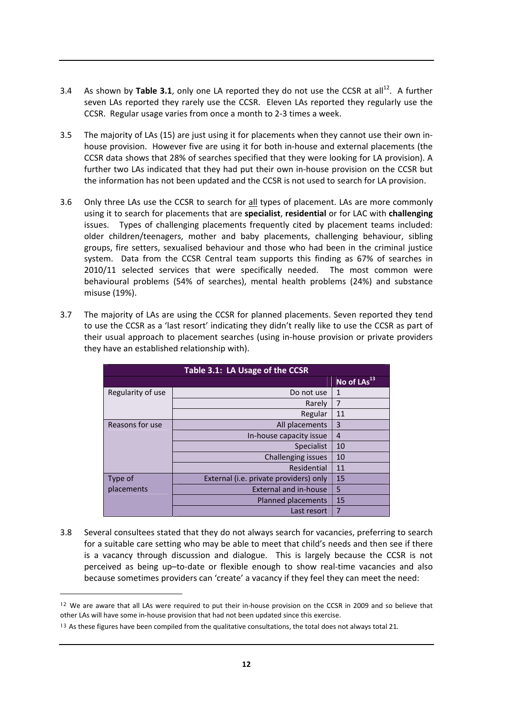- 3.4 As shown by Table 3.1, only one LA reported they do not use the CCSR at all<sup>12</sup>. A further seven LAs reported they rarely use the CCSR. Eleven LAs reported they regularly use the CCSR. Regular usage varies from once a month to 2‐3 times a week.
- 3.5 The majority of LAs (15) are just using it for placements when they cannot use their own in‐ house provision. However five are using it for both in‐house and external placements (the CCSR data shows that 28% of searches specified that they were looking for LA provision). A further two LAs indicated that they had put their own in-house provision on the CCSR but the information has not been updated and the CCSR is not used to search for LA provision.
- 3.6 Only three LAs use the CCSR to search for all types of placement. LAs are more commonly using it to search for placements that are **specialist**, **residential** or for LAC with **challenging** issues. Types of challenging placements frequently cited by placement teams included: older children/teenagers, mother and baby placements, challenging behaviour, sibling groups, fire setters, sexualised behaviour and those who had been in the criminal justice system. Data from the CCSR Central team supports this finding as 67% of searches in 2010/11 selected services that were specifically needed. The most common were behavioural problems (54% of searches), mental health problems (24%) and substance misuse (19%).
- 3.7 The majority of LAs are using the CCSR for planned placements. Seven reported they tend to use the CCSR as a 'last resort' indicating they didn't really like to use the CCSR as part of their usual approach to placement searches (using in‐house provision or private providers they have an established relationship with).

| Table 3.1: LA Usage of the CCSR |                                        |                         |  |  |  |
|---------------------------------|----------------------------------------|-------------------------|--|--|--|
|                                 |                                        | No of LAs <sup>13</sup> |  |  |  |
| Regularity of use               | Do not use                             | $\mathbf{1}$            |  |  |  |
|                                 | Rarely                                 | 7                       |  |  |  |
|                                 | Regular                                | 11                      |  |  |  |
| Reasons for use                 | All placements                         | $\overline{3}$          |  |  |  |
|                                 | In-house capacity issue                |                         |  |  |  |
|                                 | <b>Specialist</b>                      | 10                      |  |  |  |
|                                 | Challenging issues                     | 10                      |  |  |  |
|                                 | Residential                            | 11                      |  |  |  |
| Type of                         | External (i.e. private providers) only | 15                      |  |  |  |
| placements                      | <b>External and in-house</b>           | 5                       |  |  |  |
|                                 | Planned placements                     | 15                      |  |  |  |
|                                 | Last resort                            | $\overline{7}$          |  |  |  |

3.8 Several consultees stated that they do not always search for vacancies, preferring to search for a suitable care setting who may be able to meet that child's needs and then see if there is a vacancy through discussion and dialogue. This is largely because the CCSR is not perceived as being up–to‐date or flexible enough to show real‐time vacancies and also because sometimes providers can 'create' a vacancy if they feel they can meet the need:

-

<sup>&</sup>lt;sup>12</sup> We are aware that all LAs were required to put their in-house provision on the CCSR in 2009 and so believe that other LAs will have some in‐house provision that had not been updated since this exercise.

<sup>&</sup>lt;sup>13</sup> As these figures have been compiled from the qualitative consultations, the total does not always total 21.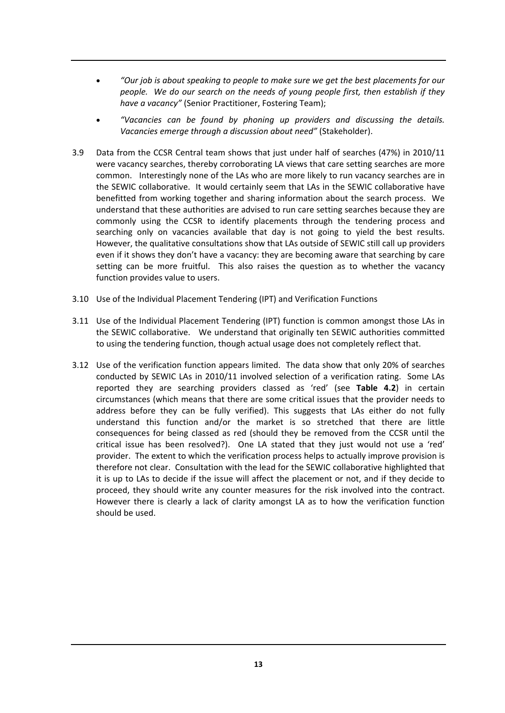- *"Our job is about speaking to people to make sure we get the best placements for our people. We do our search on the needs of young people first, then establish if they have a vacancy"* (Senior Practitioner, Fostering Team);
- *"Vacancies can be found by phoning up providers and discussing the details. Vacancies emerge through a discussion about need"* (Stakeholder).
- 3.9 Data from the CCSR Central team shows that just under half of searches (47%) in 2010/11 were vacancy searches, thereby corroborating LA views that care setting searches are more common. Interestingly none of the LAs who are more likely to run vacancy searches are in the SEWIC collaborative. It would certainly seem that LAs in the SEWIC collaborative have benefitted from working together and sharing information about the search process. We understand that these authorities are advised to run care setting searches because they are commonly using the CCSR to identify placements through the tendering process and searching only on vacancies available that day is not going to yield the best results. However, the qualitative consultations show that LAs outside of SEWIC still call up providers even if it shows they don't have a vacancy: they are becoming aware that searching by care setting can be more fruitful. This also raises the question as to whether the vacancy function provides value to users.
- 3.10 Use of the Individual Placement Tendering (IPT) and Verification Functions
- 3.11 Use of the Individual Placement Tendering (IPT) function is common amongst those LAs in the SEWIC collaborative. We understand that originally ten SEWIC authorities committed to using the tendering function, though actual usage does not completely reflect that.
- 3.12 Use of the verification function appears limited. The data show that only 20% of searches conducted by SEWIC LAs in 2010/11 involved selection of a verification rating. Some LAs reported they are searching providers classed as 'red' (see **Table 4.2**) in certain circumstances (which means that there are some critical issues that the provider needs to address before they can be fully verified). This suggests that LAs either do not fully understand this function and/or the market is so stretched that there are little consequences for being classed as red (should they be removed from the CCSR until the critical issue has been resolved?). One LA stated that they just would not use a 'red' provider. The extent to which the verification process helps to actually improve provision is therefore not clear. Consultation with the lead for the SEWIC collaborative highlighted that it is up to LAs to decide if the issue will affect the placement or not, and if they decide to proceed, they should write any counter measures for the risk involved into the contract. However there is clearly a lack of clarity amongst LA as to how the verification function should be used.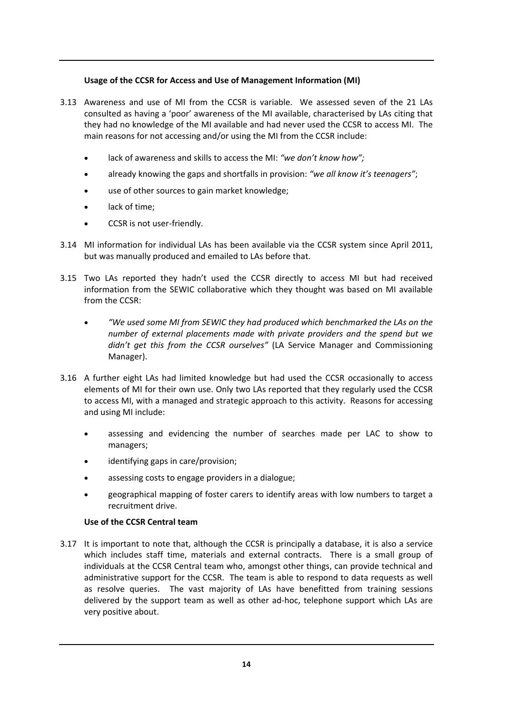## **Usage of the CCSR for Access and Use of Management Information (MI)**

- 3.13 Awareness and use of MI from the CCSR is variable. We assessed seven of the 21 LAs consulted as having a 'poor' awareness of the MI available, characterised by LAs citing that they had no knowledge of the MI available and had never used the CCSR to access MI. The main reasons for not accessing and/or using the MI from the CCSR include:
	- lack of awareness and skills to access the MI: *"we don't know how";*
	- already knowing the gaps and shortfalls in provision: *"we all know it's teenagers"*;
	- use of other sources to gain market knowledge;
	- lack of time;
	- CCSR is not user‐friendly.
- 3.14 MI information for individual LAs has been available via the CCSR system since April 2011, but was manually produced and emailed to LAs before that.
- 3.15 Two LAs reported they hadn't used the CCSR directly to access MI but had received information from the SEWIC collaborative which they thought was based on MI available from the CCSR:
	- *"We used some MI from SEWIC they had produced which benchmarked the LAs on the number of external placements made with private providers and the spend but we didn't get this from the CCSR ourselves"* (LA Service Manager and Commissioning Manager).
- 3.16 A further eight LAs had limited knowledge but had used the CCSR occasionally to access elements of MI for their own use. Only two LAs reported that they regularly used the CCSR to access MI, with a managed and strategic approach to this activity. Reasons for accessing and using MI include:
	- assessing and evidencing the number of searches made per LAC to show to managers;
	- identifying gaps in care/provision:
	- assessing costs to engage providers in a dialogue;
	- geographical mapping of foster carers to identify areas with low numbers to target a recruitment drive.

#### **Use of the CCSR Central team**

3.17 It is important to note that, although the CCSR is principally a database, it is also a service which includes staff time, materials and external contracts. There is a small group of individuals at the CCSR Central team who, amongst other things, can provide technical and administrative support for the CCSR. The team is able to respond to data requests as well as resolve queries. The vast majority of LAs have benefitted from training sessions delivered by the support team as well as other ad‐hoc, telephone support which LAs are very positive about.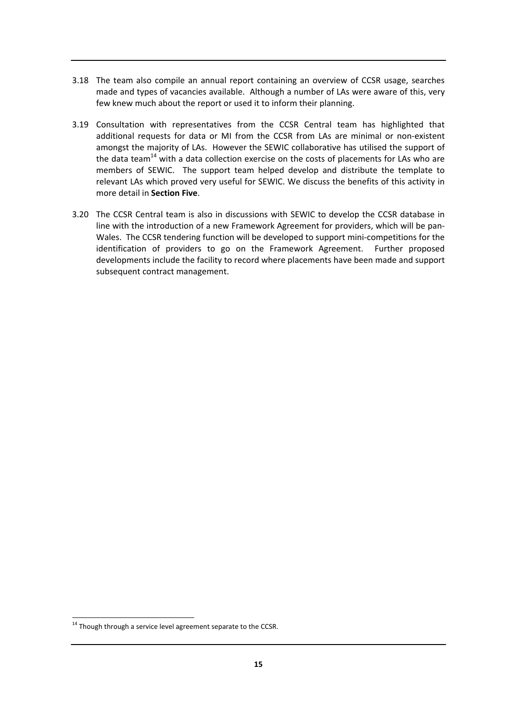- 3.18 The team also compile an annual report containing an overview of CCSR usage, searches made and types of vacancies available. Although a number of LAs were aware of this, very few knew much about the report or used it to inform their planning.
- 3.19 Consultation with representatives from the CCSR Central team has highlighted that additional requests for data or MI from the CCSR from LAs are minimal or non‐existent amongst the majority of LAs. However the SEWIC collaborative has utilised the support of the data team<sup>14</sup> with a data collection exercise on the costs of placements for LAs who are members of SEWIC. The support team helped develop and distribute the template to relevant LAs which proved very useful for SEWIC. We discuss the benefits of this activity in more detail in **Section Five**.
- 3.20 The CCSR Central team is also in discussions with SEWIC to develop the CCSR database in line with the introduction of a new Framework Agreement for providers, which will be pan‐ Wales. The CCSR tendering function will be developed to support mini‐competitions for the identification of providers to go on the Framework Agreement. Further proposed developments include the facility to record where placements have been made and support subsequent contract management.

 $\overline{1}$  $14$  Though through a service level agreement separate to the CCSR.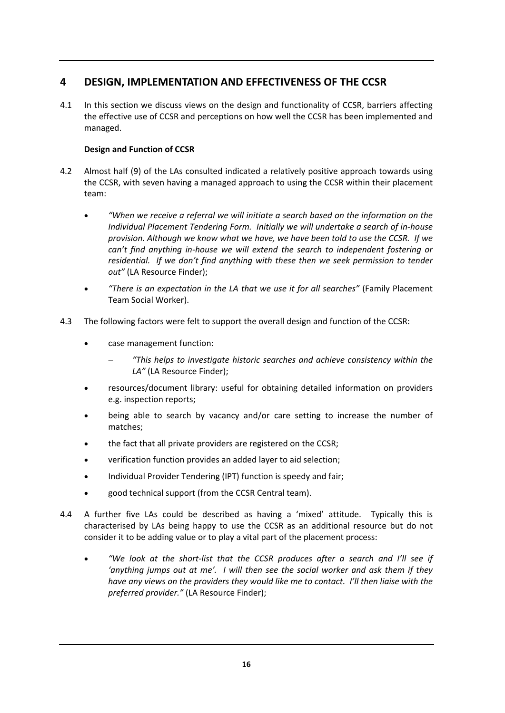# **4 DESIGN, IMPLEMENTATION AND EFFECTIVENESS OF THE CCSR**

4.1 In this section we discuss views on the design and functionality of CCSR, barriers affecting the effective use of CCSR and perceptions on how well the CCSR has been implemented and managed.

# **Design and Function of CCSR**

- 4.2 Almost half (9) of the LAs consulted indicated a relatively positive approach towards using the CCSR, with seven having a managed approach to using the CCSR within their placement team:
	- *"When we receive a referral we will initiate a search based on the information on the Individual Placement Tendering Form. Initially we will undertake a search of in‐house provision. Although we know what we have, we have been told to use the CCSR. If we can't find anything in‐house we will extend the search to independent fostering or residential. If we don't find anything with these then we seek permission to tender out"* (LA Resource Finder);
	- *"There is an expectation in the LA that we use it for all searches"* (Family Placement Team Social Worker).
- 4.3 The following factors were felt to support the overall design and function of the CCSR:
	- case management function:
		- − *"This helps to investigate historic searches and achieve consistency within the LA"* (LA Resource Finder);
	- resources/document library: useful for obtaining detailed information on providers e.g. inspection reports;
	- being able to search by vacancy and/or care setting to increase the number of matches;
	- the fact that all private providers are registered on the CCSR;
	- verification function provides an added layer to aid selection;
	- Individual Provider Tendering (IPT) function is speedy and fair;
	- good technical support (from the CCSR Central team).
- 4.4 A further five LAs could be described as having a 'mixed' attitude. Typically this is characterised by LAs being happy to use the CCSR as an additional resource but do not consider it to be adding value or to play a vital part of the placement process:
	- *"We look at the short‐list that the CCSR produces after a search and I'll see if 'anything jumps out at me'. I will then see the social worker and ask them if they have any views on the providers they would like me to contact. I'll then liaise with the preferred provider."* (LA Resource Finder);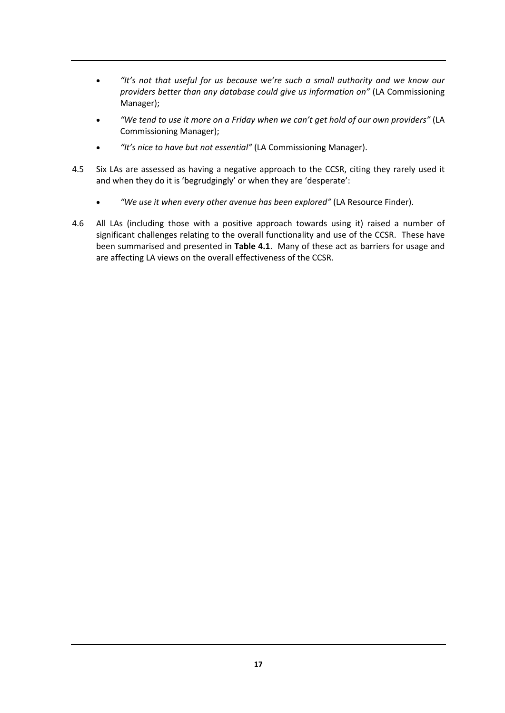- *"It's not that useful for us because we're such a small authority and we know our providers better than any database could give us information on"* (LA Commissioning Manager);
- *"We tend to use it more on a Friday when we can't get hold of our own providers"* (LA Commissioning Manager);
- *"It's nice to have but not essential"* (LA Commissioning Manager).
- 4.5 Six LAs are assessed as having a negative approach to the CCSR, citing they rarely used it and when they do it is 'begrudgingly' or when they are 'desperate':
	- *"We use it when every other avenue has been explored"* (LA Resource Finder).
- 4.6 All LAs (including those with a positive approach towards using it) raised a number of significant challenges relating to the overall functionality and use of the CCSR. These have been summarised and presented in **Table 4.1**. Many of these act as barriers for usage and are affecting LA views on the overall effectiveness of the CCSR.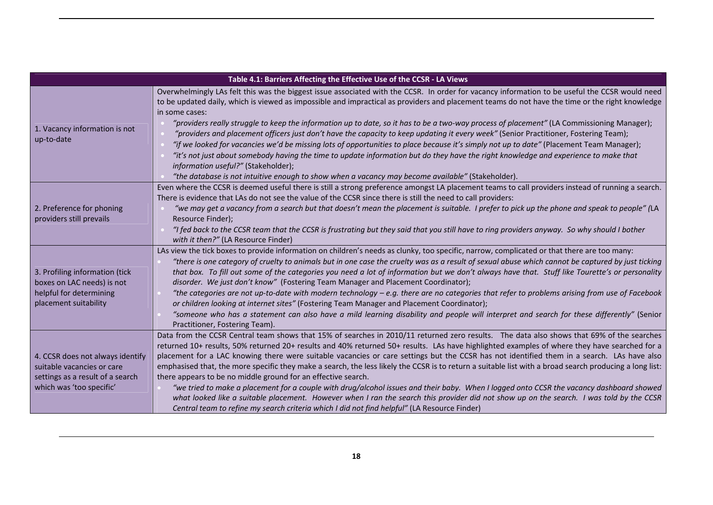|                                                                                                                                | Table 4.1: Barriers Affecting the Effective Use of the CCSR - LA Views                                                                                                                                                                                                                                                                                                                                                                                                                                                                                                                                                                                                                                                                                                                                                                                                                                                                                                                                                                                      |
|--------------------------------------------------------------------------------------------------------------------------------|-------------------------------------------------------------------------------------------------------------------------------------------------------------------------------------------------------------------------------------------------------------------------------------------------------------------------------------------------------------------------------------------------------------------------------------------------------------------------------------------------------------------------------------------------------------------------------------------------------------------------------------------------------------------------------------------------------------------------------------------------------------------------------------------------------------------------------------------------------------------------------------------------------------------------------------------------------------------------------------------------------------------------------------------------------------|
| 1. Vacancy information is not<br>up-to-date                                                                                    | Overwhelmingly LAs felt this was the biggest issue associated with the CCSR. In order for vacancy information to be useful the CCSR would need<br>to be updated daily, which is viewed as impossible and impractical as providers and placement teams do not have the time or the right knowledge<br>in some cases:<br>"providers really struggle to keep the information up to date, so it has to be a two-way process of placement" (LA Commissioning Manager);<br>"providers and placement officers just don't have the capacity to keep updating it every week" (Senior Practitioner, Fostering Team);<br>"if we looked for vacancies we'd be missing lots of opportunities to place because it's simply not up to date" (Placement Team Manager);<br>"it's not just about somebody having the time to update information but do they have the right knowledge and experience to make that<br>information useful?" (Stakeholder);<br>"the database is not intuitive enough to show when a vacancy may become available" (Stakeholder).                  |
| 2. Preference for phoning<br>providers still prevails                                                                          | Even where the CCSR is deemed useful there is still a strong preference amongst LA placement teams to call providers instead of running a search.<br>There is evidence that LAs do not see the value of the CCSR since there is still the need to call providers:<br>"we may get a vacancy from a search but that doesn't mean the placement is suitable. I prefer to pick up the phone and speak to people" (LA<br>Resource Finder);<br>"I fed back to the CCSR team that the CCSR is frustrating but they said that you still have to ring providers anyway. So why should I bother<br>with it then?" (LA Resource Finder)                                                                                                                                                                                                                                                                                                                                                                                                                                |
| 3. Profiling information (tick<br>boxes on LAC needs) is not<br>helpful for determining<br>placement suitability               | LAs view the tick boxes to provide information on children's needs as clunky, too specific, narrow, complicated or that there are too many:<br>"there is one category of cruelty to animals but in one case the cruelty was as a result of sexual abuse which cannot be captured by just ticking<br>that box. To fill out some of the categories you need a lot of information but we don't always have that. Stuff like Tourette's or personality<br>disorder. We just don't know" (Fostering Team Manager and Placement Coordinator);<br>"the categories are not up-to-date with modern technology – e.g. there are no categories that refer to problems arising from use of Facebook<br>or children looking at internet sites" (Fostering Team Manager and Placement Coordinator);<br>"someone who has a statement can also have a mild learning disability and people will interpret and search for these differently" (Senior<br>Practitioner, Fostering Team).                                                                                        |
| 4. CCSR does not always identify<br>suitable vacancies or care<br>settings as a result of a search<br>which was 'too specific' | Data from the CCSR Central team shows that 15% of searches in 2010/11 returned zero results. The data also shows that 69% of the searches<br>returned 10+ results, 50% returned 20+ results and 40% returned 50+ results. LAs have highlighted examples of where they have searched for a<br>placement for a LAC knowing there were suitable vacancies or care settings but the CCSR has not identified them in a search. LAs have also<br>emphasised that, the more specific they make a search, the less likely the CCSR is to return a suitable list with a broad search producing a long list:<br>there appears to be no middle ground for an effective search.<br>"we tried to make a placement for a couple with drug/alcohol issues and their baby. When I logged onto CCSR the vacancy dashboard showed<br>what looked like a suitable placement. However when I ran the search this provider did not show up on the search. I was told by the CCSR<br>Central team to refine my search criteria which I did not find helpful" (LA Resource Finder) |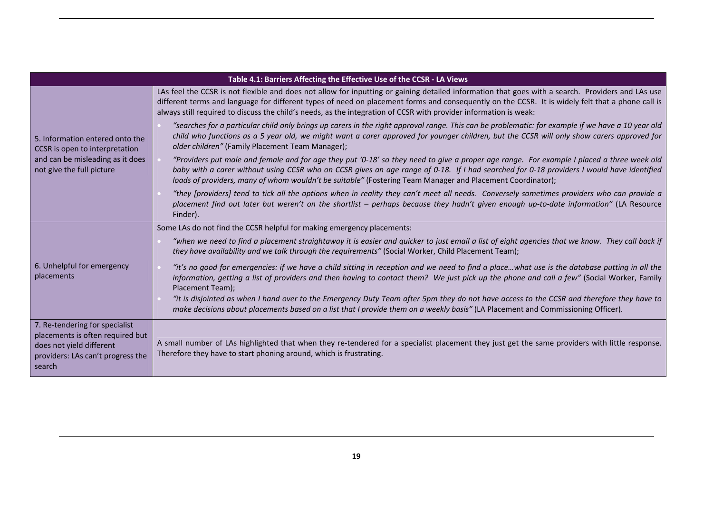|                                                                                                                                               | Table 4.1: Barriers Affecting the Effective Use of the CCSR - LA Views                                                                                                                                                                                                                                                                                                                                                     |
|-----------------------------------------------------------------------------------------------------------------------------------------------|----------------------------------------------------------------------------------------------------------------------------------------------------------------------------------------------------------------------------------------------------------------------------------------------------------------------------------------------------------------------------------------------------------------------------|
|                                                                                                                                               | LAs feel the CCSR is not flexible and does not allow for inputting or gaining detailed information that goes with a search. Providers and LAs use<br>different terms and language for different types of need on placement forms and consequently on the CCSR. It is widely felt that a phone call is<br>always still required to discuss the child's needs, as the integration of CCSR with provider information is weak: |
| 5. Information entered onto the<br>CCSR is open to interpretation                                                                             | "searches for a particular child only brings up carers in the right approval range. This can be problematic: for example if we have a 10 year old<br>child who functions as a 5 year old, we might want a carer approved for younger children, but the CCSR will only show carers approved for<br>older children" (Family Placement Team Manager);                                                                         |
| and can be misleading as it does<br>not give the full picture                                                                                 | "Providers put male and female and for age they put '0-18' so they need to give a proper age range. For example I placed a three week old<br>baby with a carer without using CCSR who on CCSR gives an age range of 0-18. If I had searched for 0-18 providers I would have identified<br>loads of providers, many of whom wouldn't be suitable" (Fostering Team Manager and Placement Coordinator);                       |
|                                                                                                                                               | "they [providers] tend to tick all the options when in reality they can't meet all needs. Conversely sometimes providers who can provide a<br>placement find out later but weren't on the shortlist - perhaps because they hadn't given enough up-to-date information" (LA Resource<br>Finder).                                                                                                                            |
|                                                                                                                                               | Some LAs do not find the CCSR helpful for making emergency placements:                                                                                                                                                                                                                                                                                                                                                     |
|                                                                                                                                               | "when we need to find a placement straightaway it is easier and quicker to just email a list of eight agencies that we know. They call back if<br>they have availability and we talk through the requirements" (Social Worker, Child Placement Team);                                                                                                                                                                      |
| 6. Unhelpful for emergency<br>placements                                                                                                      | "it's no good for emergencies: if we have a child sitting in reception and we need to find a placewhat use is the database putting in all the<br>information, getting a list of providers and then having to contact them? We just pick up the phone and call a few" (Social Worker, Family<br>Placement Team);                                                                                                            |
|                                                                                                                                               | "it is disjointed as when I hand over to the Emergency Duty Team after 5pm they do not have access to the CCSR and therefore they have to<br>make decisions about placements based on a list that I provide them on a weekly basis" (LA Placement and Commissioning Officer).                                                                                                                                              |
| 7. Re-tendering for specialist<br>placements is often required but<br>does not yield different<br>providers: LAs can't progress the<br>search | A small number of LAs highlighted that when they re-tendered for a specialist placement they just get the same providers with little response.<br>Therefore they have to start phoning around, which is frustrating.                                                                                                                                                                                                       |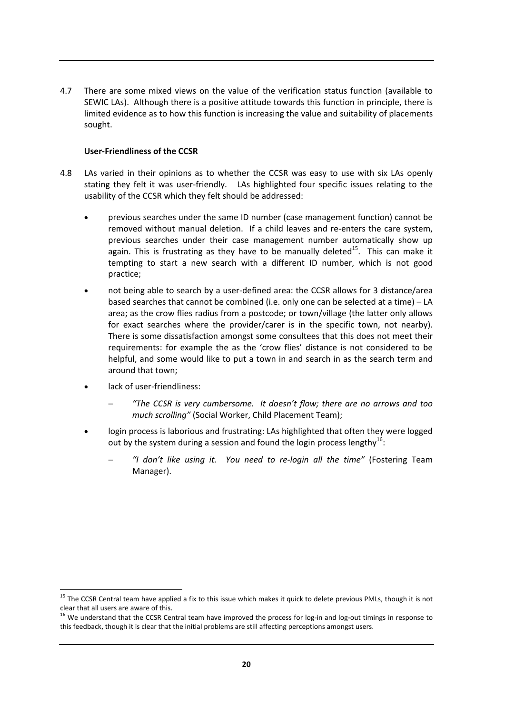4.7 There are some mixed views on the value of the verification status function (available to SEWIC LAs). Although there is a positive attitude towards this function in principle, there is limited evidence as to how this function is increasing the value and suitability of placements sought.

#### **User‐Friendliness of the CCSR**

- 4.8 LAs varied in their opinions as to whether the CCSR was easy to use with six LAs openly stating they felt it was user-friendly. LAs highlighted four specific issues relating to the usability of the CCSR which they felt should be addressed:
	- previous searches under the same ID number (case management function) cannot be removed without manual deletion. If a child leaves and re-enters the care system, previous searches under their case management number automatically show up again. This is frustrating as they have to be manually deleted<sup>15</sup>. This can make it tempting to start a new search with a different ID number, which is not good practice;
	- not being able to search by a user-defined area: the CCSR allows for 3 distance/area based searches that cannot be combined (i.e. only one can be selected at a time) – LA area; as the crow flies radius from a postcode; or town/village (the latter only allows for exact searches where the provider/carer is in the specific town, not nearby). There is some dissatisfaction amongst some consultees that this does not meet their requirements: for example the as the 'crow flies' distance is not considered to be helpful, and some would like to put a town in and search in as the search term and around that town;
	- lack of user-friendliness:
		- − *"The CCSR is very cumbersome. It doesn't flow; there are no arrows and too much scrolling"* (Social Worker, Child Placement Team);
	- login process is laborious and frustrating: LAs highlighted that often they were logged out by the system during a session and found the login process lengthy $^{16}$ :
		- − *"I don't like using it. You need to re‐login all the time"* (Fostering Team Manager).

 $\overline{a}$ <sup>15</sup> The CCSR Central team have applied a fix to this issue which makes it quick to delete previous PMLs, though it is not

clear that all users are aware of this.<br><sup>16</sup> We understand that the CCSR Central team have improved the process for log-in and log-out timings in response to this feedback, though it is clear that the initial problems are still affecting perceptions amongst users.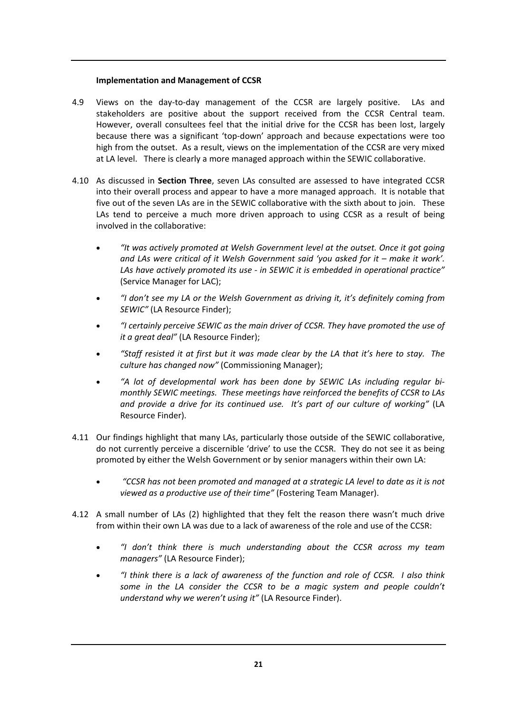#### **Implementation and Management of CCSR**

- 4.9 Views on the day-to-day management of the CCSR are largely positive. LAs and stakeholders are positive about the support received from the CCSR Central team. However, overall consultees feel that the initial drive for the CCSR has been lost, largely because there was a significant 'top‐down' approach and because expectations were too high from the outset. As a result, views on the implementation of the CCSR are very mixed at LA level. There is clearly a more managed approach within the SEWIC collaborative.
- 4.10 As discussed in **Section Three**, seven LAs consulted are assessed to have integrated CCSR into their overall process and appear to have a more managed approach. It is notable that five out of the seven LAs are in the SEWIC collaborative with the sixth about to join. These LAs tend to perceive a much more driven approach to using CCSR as a result of being involved in the collaborative:
	- *"It was actively promoted at Welsh Government level at the outset. Once it got going and LAs were critical of it Welsh Government said 'you asked for it – make it work'. LAs have actively promoted its use ‐ in SEWIC it is embedded in operational practice"* (Service Manager for LAC);
	- *"I don't see my LA or the Welsh Government as driving it, it's definitely coming from SEWIC"* (LA Resource Finder);
	- *"I certainly perceive SEWIC as the main driver of CCSR. They have promoted the use of it a great deal"* (LA Resource Finder);
	- "Staff resisted it at first but it was made clear by the LA that it's here to stay. The *culture has changed now"* (Commissioning Manager);
	- *"A lot of developmental work has been done by SEWIC LAs including regular bi‐ monthly SEWIC meetings. These meetings have reinforced the benefits of CCSR to LAs and provide a drive for its continued use. It's part of our culture of working"* (LA Resource Finder).
- 4.11 Our findings highlight that many LAs, particularly those outside of the SEWIC collaborative, do not currently perceive a discernible 'drive' to use the CCSR. They do not see it as being promoted by either the Welsh Government or by senior managers within their own LA:
	- *"CCSR has not been promoted and managed at a strategic LA level to date as it is not viewed as a productive use of their time"* (Fostering Team Manager).
- 4.12 A small number of LAs (2) highlighted that they felt the reason there wasn't much drive from within their own LA was due to a lack of awareness of the role and use of the CCSR:
	- *"I don't think there is much understanding about the CCSR across my team managers"* (LA Resource Finder);
	- *"I think there is a lack of awareness of the function and role of CCSR. I also think some in the LA consider the CCSR to be a magic system and people couldn't understand why we weren't using it"* (LA Resource Finder).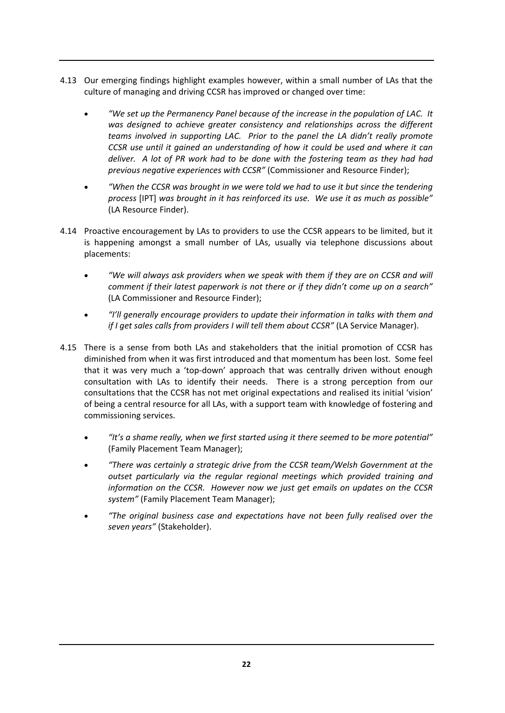- 4.13 Our emerging findings highlight examples however, within a small number of LAs that the culture of managing and driving CCSR has improved or changed over time:
	- *"We set up the Permanency Panel because of the increase in the population of LAC. It was designed to achieve greater consistency and relationships across the different teams involved in supporting LAC. Prior to the panel the LA didn't really promote CCSR use until it gained an understanding of how it could be used and where it can deliver. A lot of PR work had to be done with the fostering team as they had had previous negative experiences with CCSR"* (Commissioner and Resource Finder);
	- *"When the CCSR was brought in we were told we had to use it but since the tendering process* [IPT] *was brought in it has reinforced its use. We use it as much as possible"* (LA Resource Finder).
- 4.14 Proactive encouragement by LAs to providers to use the CCSR appears to be limited, but it is happening amongst a small number of LAs, usually via telephone discussions about placements:
	- *"We will always ask providers when we speak with them if they are on CCSR and will comment if their latest paperwork is not there or if they didn't come up on a search"* (LA Commissioner and Resource Finder);
	- *"I'll generally encourage providers to update their information in talks with them and if I get sales calls from providers I will tell them about CCSR"* (LA Service Manager).
- 4.15 There is a sense from both LAs and stakeholders that the initial promotion of CCSR has diminished from when it was first introduced and that momentum has been lost. Some feel that it was very much a 'top‐down' approach that was centrally driven without enough consultation with LAs to identify their needs. There is a strong perception from our consultations that the CCSR has not met original expectations and realised its initial 'vision' of being a central resource for all LAs, with a support team with knowledge of fostering and commissioning services.
	- *"It's a shame really, when we first started using it there seemed to be more potential"* (Family Placement Team Manager);
	- *"There was certainly a strategic drive from the CCSR team/Welsh Government at the outset particularly via the regular regional meetings which provided training and information on the CCSR. However now we just get emails on updates on the CCSR system"* (Family Placement Team Manager);
	- *"The original business case and expectations have not been fully realised over the seven years"* (Stakeholder).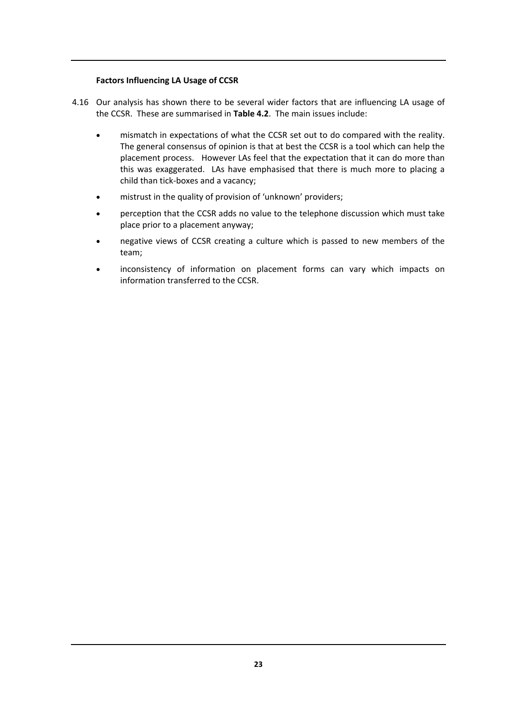#### **Factors Influencing LA Usage of CCSR**

- 4.16 Our analysis has shown there to be several wider factors that are influencing LA usage of the CCSR. These are summarised in **Table 4.2**. The main issues include:
	- mismatch in expectations of what the CCSR set out to do compared with the reality. The general consensus of opinion is that at best the CCSR is a tool which can help the placement process. However LAs feel that the expectation that it can do more than this was exaggerated. LAs have emphasised that there is much more to placing a child than tick‐boxes and a vacancy;
	- mistrust in the quality of provision of 'unknown' providers;
	- perception that the CCSR adds no value to the telephone discussion which must take place prior to a placement anyway;
	- negative views of CCSR creating a culture which is passed to new members of the team;
	- inconsistency of information on placement forms can vary which impacts on information transferred to the CCSR.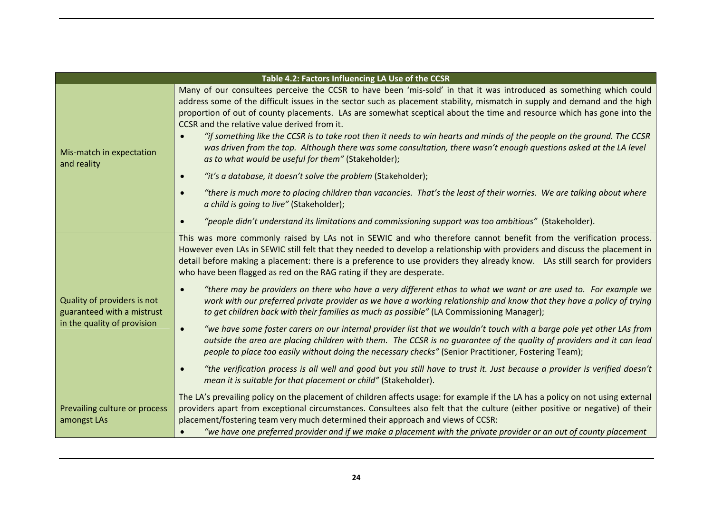|                                                           | Table 4.2: Factors Influencing LA Use of the CCSR                                                                                                                                                                                                                                                                                                                                                                                                                                                                                                                                                                                                                                                                                   |
|-----------------------------------------------------------|-------------------------------------------------------------------------------------------------------------------------------------------------------------------------------------------------------------------------------------------------------------------------------------------------------------------------------------------------------------------------------------------------------------------------------------------------------------------------------------------------------------------------------------------------------------------------------------------------------------------------------------------------------------------------------------------------------------------------------------|
| Mis-match in expectation<br>and reality                   | Many of our consultees perceive the CCSR to have been 'mis-sold' in that it was introduced as something which could<br>address some of the difficult issues in the sector such as placement stability, mismatch in supply and demand and the high<br>proportion of out of county placements. LAs are somewhat sceptical about the time and resource which has gone into the<br>CCSR and the relative value derived from it.<br>"if something like the CCSR is to take root then it needs to win hearts and minds of the people on the ground. The CCSR<br>was driven from the top. Although there was some consultation, there wasn't enough questions asked at the LA level<br>as to what would be useful for them" (Stakeholder); |
|                                                           | "it's a database, it doesn't solve the problem (Stakeholder);<br>$\bullet$                                                                                                                                                                                                                                                                                                                                                                                                                                                                                                                                                                                                                                                          |
|                                                           | "there is much more to placing children than vacancies. That's the least of their worries. We are talking about where<br>$\bullet$<br>a child is going to live" (Stakeholder);                                                                                                                                                                                                                                                                                                                                                                                                                                                                                                                                                      |
|                                                           | "people didn't understand its limitations and commissioning support was too ambitious" (Stakeholder).                                                                                                                                                                                                                                                                                                                                                                                                                                                                                                                                                                                                                               |
|                                                           | This was more commonly raised by LAs not in SEWIC and who therefore cannot benefit from the verification process.<br>However even LAs in SEWIC still felt that they needed to develop a relationship with providers and discuss the placement in<br>detail before making a placement: there is a preference to use providers they already know. LAs still search for providers<br>who have been flagged as red on the RAG rating if they are desperate.                                                                                                                                                                                                                                                                             |
| Quality of providers is not<br>guaranteed with a mistrust | "there may be providers on there who have a very different ethos to what we want or are used to. For example we<br>$\bullet$<br>work with our preferred private provider as we have a working relationship and know that they have a policy of trying<br>to get children back with their families as much as possible" (LA Commissioning Manager);                                                                                                                                                                                                                                                                                                                                                                                  |
| in the quality of provision                               | "we have some foster carers on our internal provider list that we wouldn't touch with a barge pole yet other LAs from<br>$\bullet$<br>outside the area are placing children with them. The CCSR is no guarantee of the quality of providers and it can lead<br>people to place too easily without doing the necessary checks" (Senior Practitioner, Fostering Team);                                                                                                                                                                                                                                                                                                                                                                |
|                                                           | "the verification process is all well and good but you still have to trust it. Just because a provider is verified doesn't<br>$\bullet$<br>mean it is suitable for that placement or child" (Stakeholder).                                                                                                                                                                                                                                                                                                                                                                                                                                                                                                                          |
| Prevailing culture or process<br>amongst LAs              | The LA's prevailing policy on the placement of children affects usage: for example if the LA has a policy on not using external<br>providers apart from exceptional circumstances. Consultees also felt that the culture (either positive or negative) of their<br>placement/fostering team very much determined their approach and views of CCSR:<br>"we have one preferred provider and if we make a placement with the private provider or an out of county placement                                                                                                                                                                                                                                                            |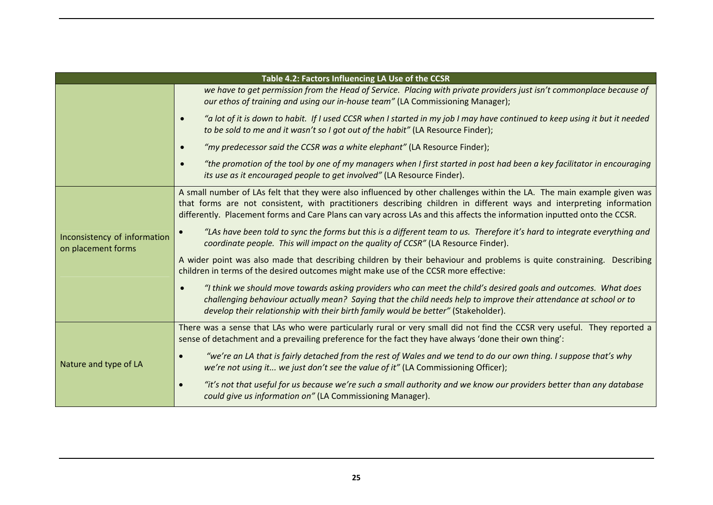|                                                    | Table 4.2: Factors Influencing LA Use of the CCSR                                                                                                                                                                                                                                                                                                                           |  |
|----------------------------------------------------|-----------------------------------------------------------------------------------------------------------------------------------------------------------------------------------------------------------------------------------------------------------------------------------------------------------------------------------------------------------------------------|--|
|                                                    | we have to get permission from the Head of Service. Placing with private providers just isn't commonplace because of<br>our ethos of training and using our in-house team" (LA Commissioning Manager);                                                                                                                                                                      |  |
|                                                    | "a lot of it is down to habit. If I used CCSR when I started in my job I may have continued to keep using it but it needed<br>$\bullet$<br>to be sold to me and it wasn't so I got out of the habit" (LA Resource Finder);                                                                                                                                                  |  |
|                                                    | "my predecessor said the CCSR was a white elephant" (LA Resource Finder);<br>$\bullet$                                                                                                                                                                                                                                                                                      |  |
|                                                    | "the promotion of the tool by one of my managers when I first started in post had been a key facilitator in encouraging<br>$\bullet$<br>its use as it encouraged people to get involved" (LA Resource Finder).                                                                                                                                                              |  |
|                                                    | A small number of LAs felt that they were also influenced by other challenges within the LA. The main example given was<br>that forms are not consistent, with practitioners describing children in different ways and interpreting information<br>differently. Placement forms and Care Plans can vary across LAs and this affects the information inputted onto the CCSR. |  |
| Inconsistency of information<br>on placement forms | "LAs have been told to sync the forms but this is a different team to us. Therefore it's hard to integrate everything and<br>coordinate people. This will impact on the quality of CCSR" (LA Resource Finder).                                                                                                                                                              |  |
|                                                    | A wider point was also made that describing children by their behaviour and problems is quite constraining. Describing<br>children in terms of the desired outcomes might make use of the CCSR more effective:                                                                                                                                                              |  |
|                                                    | "I think we should move towards asking providers who can meet the child's desired goals and outcomes. What does<br>$\bullet$<br>challenging behaviour actually mean? Saying that the child needs help to improve their attendance at school or to<br>develop their relationship with their birth family would be better" (Stakeholder).                                     |  |
|                                                    | There was a sense that LAs who were particularly rural or very small did not find the CCSR very useful. They reported a<br>sense of detachment and a prevailing preference for the fact they have always 'done their own thing':                                                                                                                                            |  |
| Nature and type of LA                              | "we're an LA that is fairly detached from the rest of Wales and we tend to do our own thing. I suppose that's why<br>we're not using it we just don't see the value of it" (LA Commissioning Officer);                                                                                                                                                                      |  |
|                                                    | "it's not that useful for us because we're such a small authority and we know our providers better than any database<br>$\bullet$<br>could give us information on" (LA Commissioning Manager).                                                                                                                                                                              |  |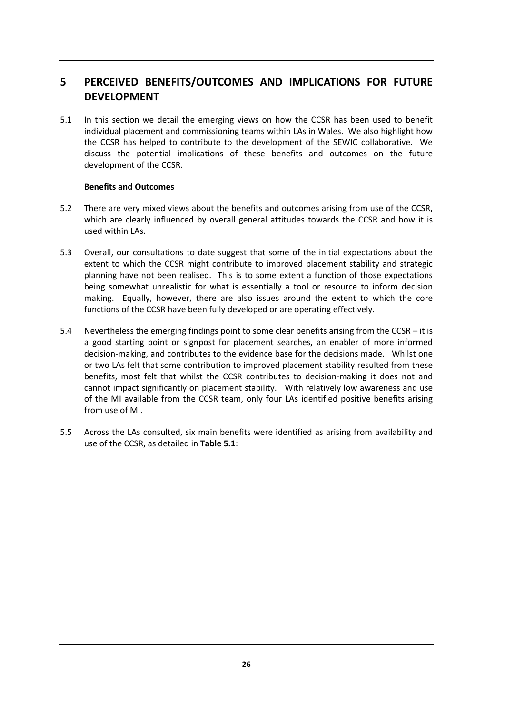# **5 PERCEIVED BENEFITS/OUTCOMES AND IMPLICATIONS FOR FUTURE DEVELOPMENT**

5.1 In this section we detail the emerging views on how the CCSR has been used to benefit individual placement and commissioning teams within LAs in Wales. We also highlight how the CCSR has helped to contribute to the development of the SEWIC collaborative. We discuss the potential implications of these benefits and outcomes on the future development of the CCSR.

#### **Benefits and Outcomes**

- 5.2 There are very mixed views about the benefits and outcomes arising from use of the CCSR, which are clearly influenced by overall general attitudes towards the CCSR and how it is used within LAs.
- 5.3 Overall, our consultations to date suggest that some of the initial expectations about the extent to which the CCSR might contribute to improved placement stability and strategic planning have not been realised. This is to some extent a function of those expectations being somewhat unrealistic for what is essentially a tool or resource to inform decision making. Equally, however, there are also issues around the extent to which the core functions of the CCSR have been fully developed or are operating effectively.
- 5.4 Nevertheless the emerging findings point to some clear benefits arising from the CCSR it is a good starting point or signpost for placement searches, an enabler of more informed decision‐making, and contributes to the evidence base for the decisions made. Whilst one or two LAs felt that some contribution to improved placement stability resulted from these benefits, most felt that whilst the CCSR contributes to decision-making it does not and cannot impact significantly on placement stability. With relatively low awareness and use of the MI available from the CCSR team, only four LAs identified positive benefits arising from use of MI.
- 5.5 Across the LAs consulted, six main benefits were identified as arising from availability and use of the CCSR, as detailed in **Table 5.1**: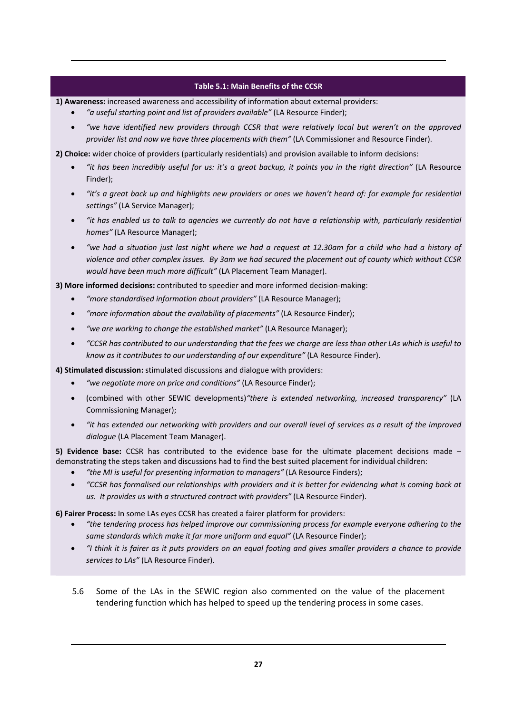#### **Table 5.1: Main Benefits of the CCSR**

**1) Awareness:** increased awareness and accessibility of information about external providers:

- *"a useful starting point and list of providers available"* (LA Resource Finder);
- *"we have identified new providers through CCSR that were relatively local but weren't on the approved provider list and now we have three placements with them"* (LA Commissioner and Resource Finder).

**2) Choice:** wider choice of providers (particularly residentials) and provision available to inform decisions:

- "it has been incredibly useful for us: it's a great backup, it points you in the right direction" (LA Resource Finder);
- "it's a great back up and highlights new providers or ones we haven't heard of: for example for residential *settings"* (LA Service Manager);
- "it has enabled us to talk to agencies we currently do not have a relationship with, particularly residential *homes"* (LA Resource Manager);
- "we had a situation just last night where we had a request at 12.30am for a child who had a history of violence and other complex issues. By 3am we had secured the placement out of county which without CCSR *would have been much more difficult"* (LA Placement Team Manager).

**3) More informed decisions:** contributed to speedier and more informed decision‐making:

- *"more standardised information about providers"* (LA Resource Manager);
- *"more information about the availability of placements"* (LA Resource Finder);
- *"we are working to change the established market"* (LA Resource Manager);
- "CCSR has contributed to our understanding that the fees we charge are less than other LAs which is useful to *know as it contributes to our understanding of our expenditure"* (LA Resource Finder).

**4) Stimulated discussion:** stimulated discussions and dialogue with providers:

- *"we negotiate more on price and conditions"* (LA Resource Finder);
- (combined with other SEWIC developments)*"there is extended networking, increased transparency"* (LA Commissioning Manager);
- "it has extended our networking with providers and our overall level of services as a result of the improved *dialogue* (LA Placement Team Manager).

**5) Evidence base:** CCSR has contributed to the evidence base for the ultimate placement decisions made – demonstrating the steps taken and discussions had to find the best suited placement for individual children:

- *"the MI is useful for presenting information to managers"* (LA Resource Finders);
- "CCSR has formalised our relationships with providers and it is better for evidencing what is coming back at *us. It provides us with a structured contract with providers"* (LA Resource Finder).

**6) Fairer Process:** In some LAs eyes CCSR has created a fairer platform for providers:

- *"the tendering process has helped improve our commissioning process for example everyone adhering to the same standards which make it far more uniform and equal"* (LA Resource Finder);
- "I think it is fairer as it puts providers on an equal footing and gives smaller providers a chance to provide *services to LAs"* (LA Resource Finder).
- 5.6 Some of the LAs in the SEWIC region also commented on the value of the placement tendering function which has helped to speed up the tendering process in some cases.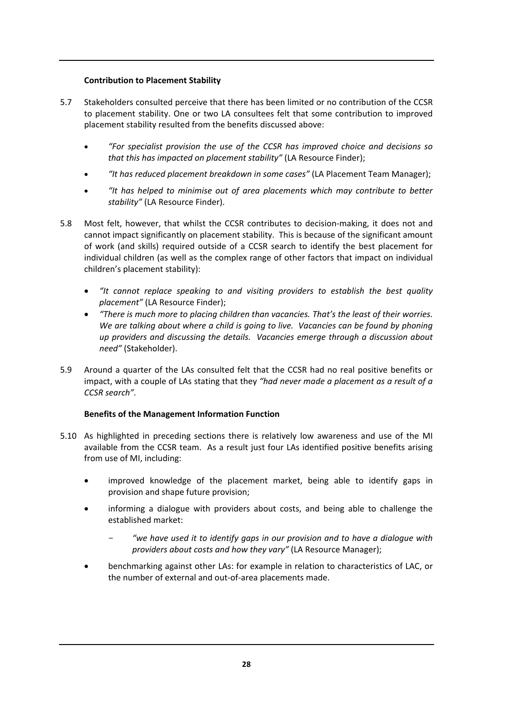## **Contribution to Placement Stability**

- 5.7 Stakeholders consulted perceive that there has been limited or no contribution of the CCSR to placement stability. One or two LA consultees felt that some contribution to improved placement stability resulted from the benefits discussed above:
	- *"For specialist provision the use of the CCSR has improved choice and decisions so that this has impacted on placement stability"* (LA Resource Finder);
	- *"It has reduced placement breakdown in some cases"* (LA Placement Team Manager);
	- *"It has helped to minimise out of area placements which may contribute to better stability"* (LA Resource Finder).
- 5.8 Most felt, however, that whilst the CCSR contributes to decision-making, it does not and cannot impact significantly on placement stability. This is because of the significant amount of work (and skills) required outside of a CCSR search to identify the best placement for individual children (as well as the complex range of other factors that impact on individual children's placement stability):
	- *"It cannot replace speaking to and visiting providers to establish the best quality placement"* (LA Resource Finder);
	- *"There is much more to placing children than vacancies. That's the least of their worries. We are talking about where a child is going to live. Vacancies can be found by phoning up providers and discussing the details. Vacancies emerge through a discussion about need"* (Stakeholder).
- 5.9 Around a quarter of the LAs consulted felt that the CCSR had no real positive benefits or impact, with a couple of LAs stating that they *"had never made a placement as a result of a CCSR search".*

## **Benefits of the Management Information Function**

- 5.10 As highlighted in preceding sections there is relatively low awareness and use of the MI available from the CCSR team. As a result just four LAs identified positive benefits arising from use of MI, including:
	- improved knowledge of the placement market, being able to identify gaps in provision and shape future provision;
	- informing a dialogue with providers about costs, and being able to challenge the established market:
		- *"we have used it to identify gaps in our provision and to have a dialogue with providers about costs and how they vary"* (LA Resource Manager);
	- benchmarking against other LAs: for example in relation to characteristics of LAC, or the number of external and out‐of‐area placements made.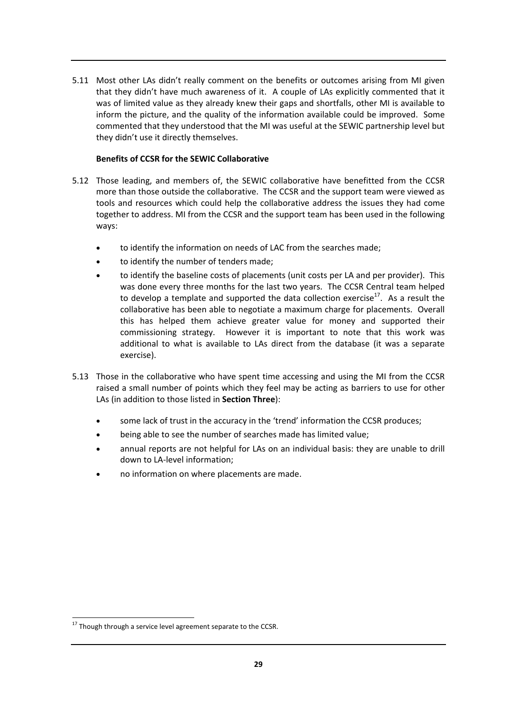5.11 Most other LAs didn't really comment on the benefits or outcomes arising from MI given that they didn't have much awareness of it. A couple of LAs explicitly commented that it was of limited value as they already knew their gaps and shortfalls, other MI is available to inform the picture, and the quality of the information available could be improved. Some commented that they understood that the MI was useful at the SEWIC partnership level but they didn't use it directly themselves.

## **Benefits of CCSR for the SEWIC Collaborative**

- 5.12 Those leading, and members of, the SEWIC collaborative have benefitted from the CCSR more than those outside the collaborative. The CCSR and the support team were viewed as tools and resources which could help the collaborative address the issues they had come together to address. MI from the CCSR and the support team has been used in the following ways:
	- to identify the information on needs of LAC from the searches made;
	- to identify the number of tenders made;
	- to identify the baseline costs of placements (unit costs per LA and per provider). This was done every three months for the last two years. The CCSR Central team helped to develop a template and supported the data collection exercise<sup>17</sup>. As a result the collaborative has been able to negotiate a maximum charge for placements. Overall this has helped them achieve greater value for money and supported their commissioning strategy. However it is important to note that this work was additional to what is available to LAs direct from the database (it was a separate exercise).
- 5.13 Those in the collaborative who have spent time accessing and using the MI from the CCSR raised a small number of points which they feel may be acting as barriers to use for other LAs (in addition to those listed in **Section Three**):
	- some lack of trust in the accuracy in the 'trend' information the CCSR produces;
	- being able to see the number of searches made has limited value;
	- annual reports are not helpful for LAs on an individual basis: they are unable to drill down to LA‐level information;
	- no information on where placements are made.

 $\overline{1}$  $^{17}$  Though through a service level agreement separate to the CCSR.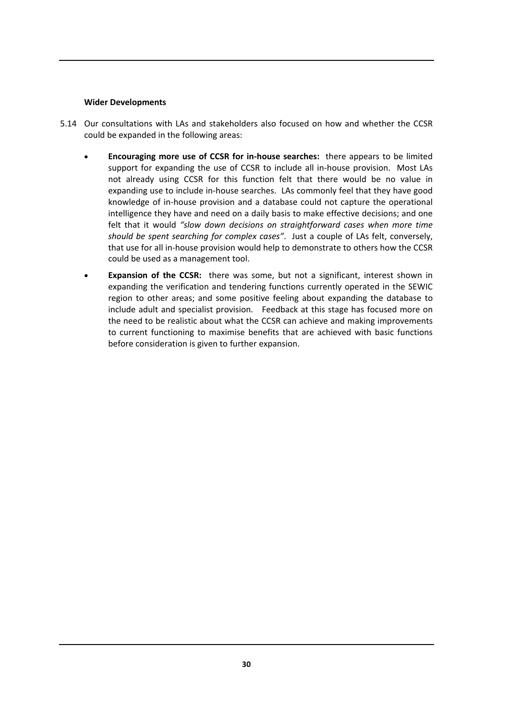#### **Wider Developments**

- 5.14 Our consultations with LAs and stakeholders also focused on how and whether the CCSR could be expanded in the following areas:
	- **Encouraging more use of CCSR for in‐house searches:** there appears to be limited support for expanding the use of CCSR to include all in-house provision. Most LAs not already using CCSR for this function felt that there would be no value in expanding use to include in-house searches. LAs commonly feel that they have good knowledge of in‐house provision and a database could not capture the operational intelligence they have and need on a daily basis to make effective decisions; and one felt that it would *"slow down decisions on straightforward cases when more time should be spent searching for complex cases"*. Just a couple of LAs felt, conversely, that use for all in‐house provision would help to demonstrate to others how the CCSR could be used as a management tool.
	- **Expansion of the CCSR:** there was some, but not a significant, interest shown in expanding the verification and tendering functions currently operated in the SEWIC region to other areas; and some positive feeling about expanding the database to include adult and specialist provision. Feedback at this stage has focused more on the need to be realistic about what the CCSR can achieve and making improvements to current functioning to maximise benefits that are achieved with basic functions before consideration is given to further expansion.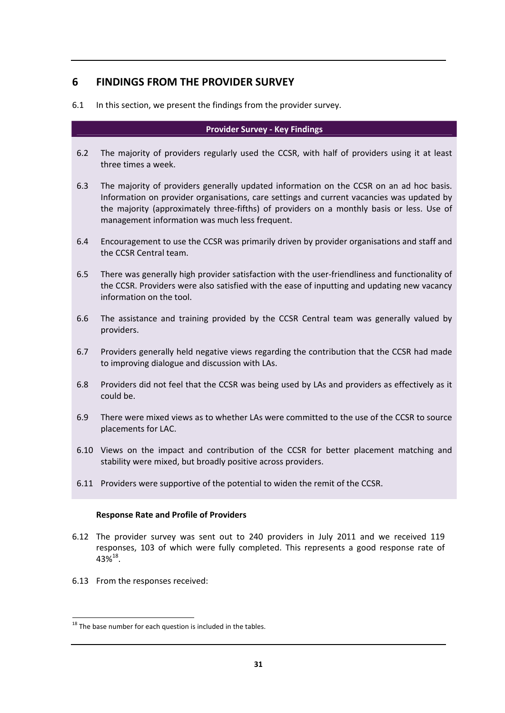# **6 FINDINGS FROM THE PROVIDER SURVEY**

6.1 In this section, we present the findings from the provider survey.

#### **Provider Survey ‐ Key Findings**

- 6.2 The majority of providers regularly used the CCSR, with half of providers using it at least three times a week.
- 6.3 The majority of providers generally updated information on the CCSR on an ad hoc basis. Information on provider organisations, care settings and current vacancies was updated by the majority (approximately three‐fifths) of providers on a monthly basis or less. Use of management information was much less frequent.
- 6.4 Encouragement to use the CCSR was primarily driven by provider organisations and staff and the CCSR Central team.
- 6.5 There was generally high provider satisfaction with the user-friendliness and functionality of the CCSR. Providers were also satisfied with the ease of inputting and updating new vacancy information on the tool.
- 6.6 The assistance and training provided by the CCSR Central team was generally valued by providers.
- 6.7 Providers generally held negative views regarding the contribution that the CCSR had made to improving dialogue and discussion with LAs.
- 6.8 Providers did not feel that the CCSR was being used by LAs and providers as effectively as it could be.
- 6.9 There were mixed views as to whether LAs were committed to the use of the CCSR to source placements for LAC.
- 6.10 Views on the impact and contribution of the CCSR for better placement matching and stability were mixed, but broadly positive across providers.
- 6.11 Providers were supportive of the potential to widen the remit of the CCSR.

#### **Response Rate and Profile of Providers**

- 6.12 The provider survey was sent out to 240 providers in July 2011 and we received 119 responses, 103 of which were fully completed. This represents a good response rate of  $43\%^{18}$ .
- 6.13 From the responses received:

 $\overline{1}$  $^{18}$  The base number for each question is included in the tables.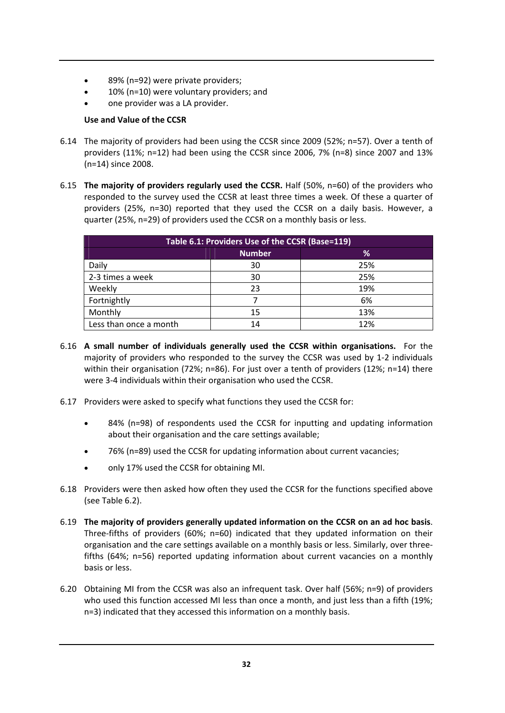- 89% (n=92) were private providers;
- 10% (n=10) were voluntary providers; and
- one provider was a LA provider.

## **Use and Value of the CCSR**

- 6.14 The majority of providers had been using the CCSR since 2009 (52%; n=57). Over a tenth of providers (11%; n=12) had been using the CCSR since 2006, 7% (n=8) since 2007 and 13% (n=14) since 2008.
- 6.15 **The majority of providers regularly used the CCSR.** Half (50%, n=60) of the providers who responded to the survey used the CCSR at least three times a week. Of these a quarter of providers (25%, n=30) reported that they used the CCSR on a daily basis. However, a quarter (25%, n=29) of providers used the CCSR on a monthly basis or less.

| Table 6.1: Providers Use of the CCSR (Base=119) |    |     |  |  |  |  |
|-------------------------------------------------|----|-----|--|--|--|--|
| <b>Number</b><br>℅                              |    |     |  |  |  |  |
| Daily                                           | 30 | 25% |  |  |  |  |
| 2-3 times a week                                | 30 | 25% |  |  |  |  |
| Weekly                                          | 23 | 19% |  |  |  |  |
| Fortnightly                                     |    | 6%  |  |  |  |  |
| Monthly                                         | 15 | 13% |  |  |  |  |
| Less than once a month                          | 14 | 12% |  |  |  |  |

- 6.16 **A small number of individuals generally used the CCSR within organisations.** For the majority of providers who responded to the survey the CCSR was used by 1‐2 individuals within their organisation (72%; n=86). For just over a tenth of providers (12%; n=14) there were 3‐4 individuals within their organisation who used the CCSR.
- 6.17 Providers were asked to specify what functions they used the CCSR for:
	- 84% (n=98) of respondents used the CCSR for inputting and updating information about their organisation and the care settings available;
	- 76% (n=89) used the CCSR for updating information about current vacancies;
	- only 17% used the CCSR for obtaining MI.
- 6.18 Providers were then asked how often they used the CCSR for the functions specified above (see Table 6.2).
- 6.19 **The majority of providers generally updated information on the CCSR on an ad hoc basis**. Three‐fifths of providers (60%; n=60) indicated that they updated information on their organisation and the care settings available on a monthly basis or less. Similarly, over three‐ fifths (64%; n=56) reported updating information about current vacancies on a monthly basis or less.
- 6.20 Obtaining MI from the CCSR was also an infrequent task. Over half (56%; n=9) of providers who used this function accessed MI less than once a month, and just less than a fifth (19%; n=3) indicated that they accessed this information on a monthly basis.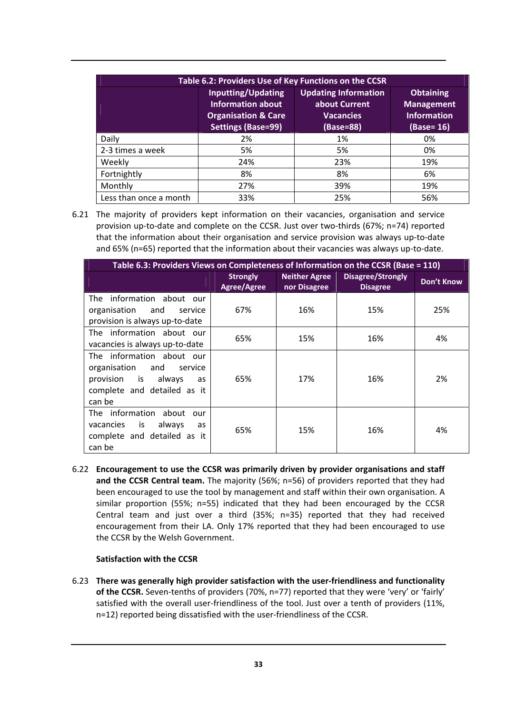| Table 6.2: Providers Use of Key Functions on the CCSR |                                                                                                               |                                                                               |                                                                           |  |  |  |
|-------------------------------------------------------|---------------------------------------------------------------------------------------------------------------|-------------------------------------------------------------------------------|---------------------------------------------------------------------------|--|--|--|
|                                                       | <b>Inputting/Updating</b><br>Information about<br><b>Organisation &amp; Care</b><br><b>Settings (Base=99)</b> | <b>Updating Information</b><br>about Current<br><b>Vacancies</b><br>(Base=88) | <b>Obtaining</b><br><b>Management</b><br><b>Information</b><br>(Base= 16) |  |  |  |
| Daily                                                 | 2%                                                                                                            | 1%                                                                            | 0%                                                                        |  |  |  |
| 2-3 times a week                                      | 5%                                                                                                            | 5%                                                                            | 0%                                                                        |  |  |  |
| Weekly                                                | 24%                                                                                                           | 23%                                                                           | 19%                                                                       |  |  |  |
| Fortnightly                                           | 8%                                                                                                            | 8%                                                                            | 6%                                                                        |  |  |  |
| Monthly                                               | 27%                                                                                                           | 39%                                                                           | 19%                                                                       |  |  |  |
| Less than once a month                                | 33%                                                                                                           | 25%                                                                           | 56%                                                                       |  |  |  |

6.21 The majority of providers kept information on their vacancies, organisation and service provision up-to-date and complete on the CCSR. Just over two-thirds (67%; n=74) reported that the information about their organisation and service provision was always up‐to‐date and 65% (n=65) reported that the information about their vacancies was always up‐to‐date.

| Table 6.3: Providers Views on Completeness of Information on the CCSR (Base = 110)                                                |                                |                                      |                                             |                   |
|-----------------------------------------------------------------------------------------------------------------------------------|--------------------------------|--------------------------------------|---------------------------------------------|-------------------|
|                                                                                                                                   | <b>Strongly</b><br>Agree/Agree | <b>Neither Agree</b><br>nor Disagree | <b>Disagree/Strongly</b><br><b>Disagree</b> | <b>Don't Know</b> |
| information about our<br>The<br>organisation<br>and<br>service<br>provision is always up-to-date                                  | 67%                            | 16%                                  | 15%                                         | 25%               |
| The information about our<br>vacancies is always up-to-date                                                                       | 65%                            | 15%                                  | 16%                                         | 4%                |
| The information about our<br>organisation<br>and<br>service<br>provision is always<br>as<br>complete and detailed as it<br>can be | 65%                            | 17%                                  | 16%                                         | 2%                |
| The information about<br>our<br>vacancies<br>is<br>always<br>as<br>complete and detailed as it<br>can be                          | 65%                            | 15%                                  | 16%                                         | 4%                |

6.22 **Encouragement to use the CCSR was primarily driven by provider organisations and staff and the CCSR Central team.** The majority (56%; n=56) of providers reported that they had been encouraged to use the tool by management and staff within their own organisation. A similar proportion (55%; n=55) indicated that they had been encouraged by the CCSR Central team and just over a third (35%; n=35) reported that they had received encouragement from their LA. Only 17% reported that they had been encouraged to use the CCSR by the Welsh Government.

#### **Satisfaction with the CCSR**

6.23 **There was generally high provider satisfaction with the user‐friendliness and functionality of the CCSR.** Seven‐tenths of providers (70%, n=77) reported that they were 'very' or 'fairly' satisfied with the overall user-friendliness of the tool. Just over a tenth of providers (11%, n=12) reported being dissatisfied with the user-friendliness of the CCSR.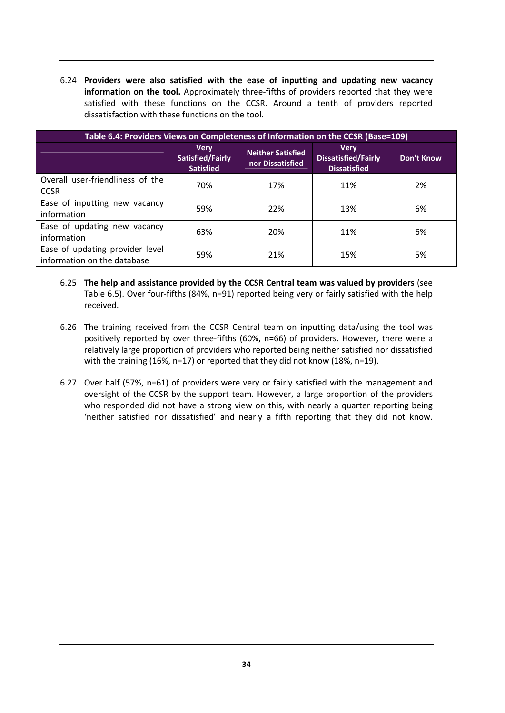6.24 **Providers were also satisfied with the ease of inputting and updating new vacancy information on the tool.** Approximately three‐fifths of providers reported that they were satisfied with these functions on the CCSR. Around a tenth of providers reported dissatisfaction with these functions on the tool.

| Table 6.4: Providers Views on Completeness of Information on the CCSR (Base=109) |                                                     |                                              |                                                                  |                   |  |  |
|----------------------------------------------------------------------------------|-----------------------------------------------------|----------------------------------------------|------------------------------------------------------------------|-------------------|--|--|
|                                                                                  | <b>Very</b><br>Satisfied/Fairly<br><b>Satisfied</b> | <b>Neither Satisfied</b><br>nor Dissatisfied | <b>Very</b><br><b>Dissatisfied/Fairly</b><br><b>Dissatisfied</b> | <b>Don't Know</b> |  |  |
| Overall user-friendliness of the<br><b>CCSR</b>                                  | 70%                                                 | 17%                                          | 11%                                                              | 2%                |  |  |
| Ease of inputting new vacancy<br>information                                     | 59%                                                 | 22%                                          | 13%                                                              | 6%                |  |  |
| Ease of updating new vacancy<br>information                                      | 63%                                                 | 20%                                          | 11%                                                              | 6%                |  |  |
| Ease of updating provider level<br>information on the database                   | 59%                                                 | 21%                                          | 15%                                                              | 5%                |  |  |

- 6.25 **The help and assistance provided by the CCSR Central team was valued by providers** (see Table 6.5). Over four-fifths (84%, n=91) reported being very or fairly satisfied with the help received.
- 6.26 The training received from the CCSR Central team on inputting data/using the tool was positively reported by over three‐fifths (60%, n=66) of providers. However, there were a relatively large proportion of providers who reported being neither satisfied nor dissatisfied with the training (16%, n=17) or reported that they did not know (18%, n=19).
- 6.27 Over half (57%, n=61) of providers were very or fairly satisfied with the management and oversight of the CCSR by the support team. However, a large proportion of the providers who responded did not have a strong view on this, with nearly a quarter reporting being 'neither satisfied nor dissatisfied' and nearly a fifth reporting that they did not know.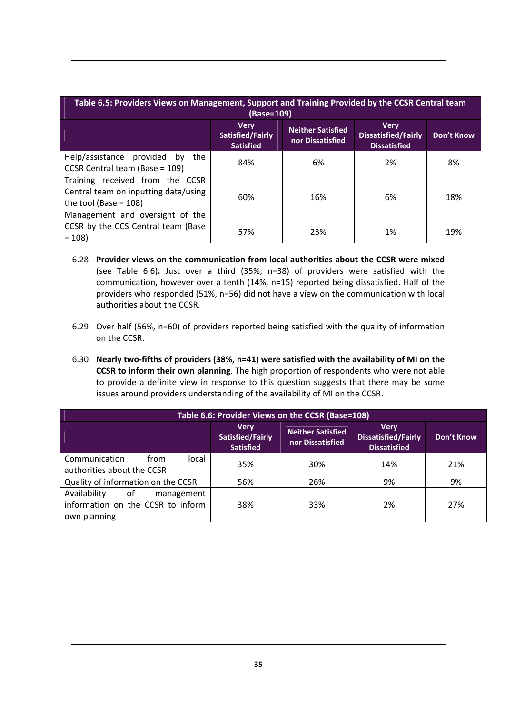| Table 6.5: Providers Views on Management, Support and Training Provided by the CCSR Central team<br>(Base=109) |                                                     |                                              |                                                                  |            |  |  |
|----------------------------------------------------------------------------------------------------------------|-----------------------------------------------------|----------------------------------------------|------------------------------------------------------------------|------------|--|--|
|                                                                                                                | <b>Very</b><br>Satisfied/Fairly<br><b>Satisfied</b> | <b>Neither Satisfied</b><br>nor Dissatisfied | <b>Verv</b><br><b>Dissatisfied/Fairly</b><br><b>Dissatisfied</b> | Don't Know |  |  |
| Help/assistance provided<br>the<br>by<br>CCSR Central team (Base = 109)                                        | 84%                                                 | 6%                                           | 2%                                                               | 8%         |  |  |
| Training received from the CCSR                                                                                |                                                     |                                              |                                                                  |            |  |  |
| Central team on inputting data/using<br>the tool (Base = $108$ )                                               | 60%                                                 | 16%                                          | 6%                                                               | 18%        |  |  |
| Management and oversight of the                                                                                |                                                     |                                              |                                                                  |            |  |  |
| CCSR by the CCS Central team (Base<br>$= 108$                                                                  | 57%                                                 | 23%                                          | 1%                                                               | 19%        |  |  |

- 6.28 **Provider views on the communication from local authorities about the CCSR were mixed** (see Table 6.6)**.** Just over a third (35%; n=38) of providers were satisfied with the communication, however over a tenth (14%, n=15) reported being dissatisfied. Half of the providers who responded (51%, n=56) did not have a view on the communication with local authorities about the CCSR.
- 6.29 Over half (56%, n=60) of providers reported being satisfied with the quality of information on the CCSR.
- 6.30 **Nearly two‐fifths of providers (38%, n=41) were satisfied with the availability of MI on the CCSR to inform their own planning**. The high proportion of respondents who were not able to provide a definite view in response to this question suggests that there may be some issues around providers understanding of the availability of MI on the CCSR.

| Table 6.6: Provider Views on the CCSR (Base=108)                                      |                                                     |                                       |                                                                  |                   |  |
|---------------------------------------------------------------------------------------|-----------------------------------------------------|---------------------------------------|------------------------------------------------------------------|-------------------|--|
|                                                                                       | <b>Very</b><br>Satisfied/Fairly<br><b>Satisfied</b> | Neither Satisfied<br>nor Dissatisfied | <b>Very</b><br><b>Dissatisfied/Fairly</b><br><b>Dissatisfied</b> | <b>Don't Know</b> |  |
| Communication<br>from<br>local<br>authorities about the CCSR                          | 35%                                                 | 30%                                   | 14%                                                              | 21%               |  |
| Quality of information on the CCSR                                                    | 56%                                                 | 26%                                   | 9%                                                               | 9%                |  |
| Availability<br>0f<br>management<br>information on the CCSR to inform<br>own planning | 38%                                                 | 33%                                   | 2%                                                               | 27%               |  |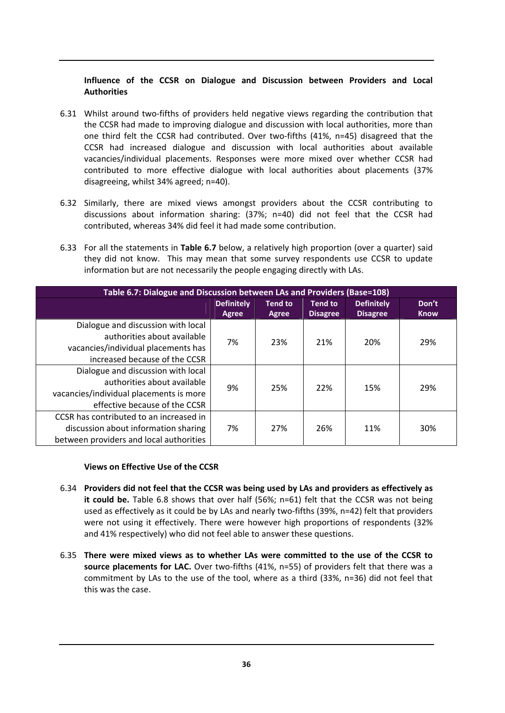## **Influence of the CCSR on Dialogue and Discussion between Providers and Local Authorities**

- 6.31 Whilst around two-fifths of providers held negative views regarding the contribution that the CCSR had made to improving dialogue and discussion with local authorities, more than one third felt the CCSR had contributed. Over two-fifths (41%, n=45) disagreed that the CCSR had increased dialogue and discussion with local authorities about available vacancies/individual placements. Responses were more mixed over whether CCSR had contributed to more effective dialogue with local authorities about placements (37% disagreeing, whilst 34% agreed; n=40).
- 6.32 Similarly, there are mixed views amongst providers about the CCSR contributing to discussions about information sharing: (37%; n=40) did not feel that the CCSR had contributed, whereas 34% did feel it had made some contribution.
- 6.33 For all the statements in **Table 6.7** below, a relatively high proportion (over a quarter) said they did not know. This may mean that some survey respondents use CCSR to update information but are not necessarily the people engaging directly with LAs.

| Table 6.7: Dialogue and Discussion between LAs and Providers (Base=108) |                   |                |                 |                   |             |  |
|-------------------------------------------------------------------------|-------------------|----------------|-----------------|-------------------|-------------|--|
|                                                                         | <b>Definitely</b> | <b>Tend to</b> | <b>Tend to</b>  | <b>Definitely</b> | Don't       |  |
|                                                                         | <b>Agree</b>      | Agree          | <b>Disagree</b> | <b>Disagree</b>   | <b>Know</b> |  |
| Dialogue and discussion with local                                      | 7%                | 23%            | 21%             | 20%               | 29%         |  |
| authorities about available                                             |                   |                |                 |                   |             |  |
| vacancies/individual placements has                                     |                   |                |                 |                   |             |  |
| increased because of the CCSR                                           |                   |                |                 |                   |             |  |
| Dialogue and discussion with local                                      | 9%                | 25%            | 22%             | 15%               | 29%         |  |
| authorities about available                                             |                   |                |                 |                   |             |  |
| vacancies/individual placements is more                                 |                   |                |                 |                   |             |  |
| effective because of the CCSR                                           |                   |                |                 |                   |             |  |
| CCSR has contributed to an increased in                                 |                   |                |                 |                   |             |  |
| discussion about information sharing                                    | 7%                | 27%            | 26%             | 11%               | 30%         |  |
| between providers and local authorities                                 |                   |                |                 |                   |             |  |

#### **Views on Effective Use of the CCSR**

- 6.34 **Providers did not feel that the CCSR was being used by LAs and providers as effectively as it could be.** Table 6.8 shows that over half (56%; n=61) felt that the CCSR was not being used as effectively as it could be by LAs and nearly two-fifths (39%, n=42) felt that providers were not using it effectively. There were however high proportions of respondents (32% and 41% respectively) who did not feel able to answer these questions.
- 6.35 **There were mixed views as to whether LAs were committed to the use of the CCSR to source placements for LAC.** Over two‐fifths (41%, n=55) of providers felt that there was a commitment by LAs to the use of the tool, where as a third (33%, n=36) did not feel that this was the case.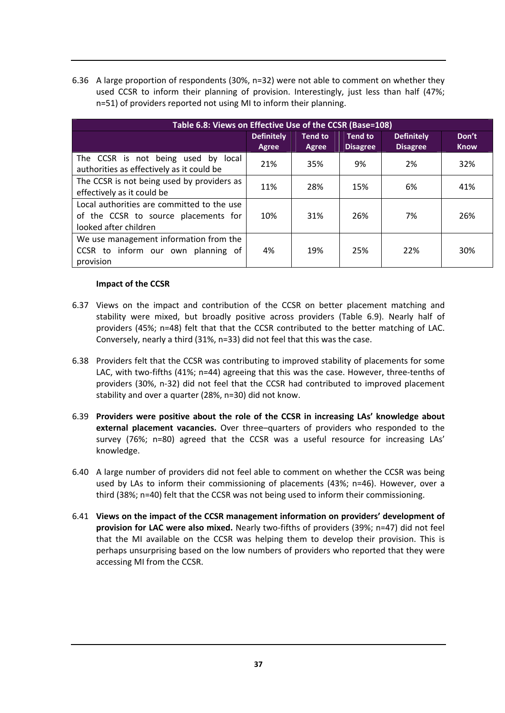6.36 A large proportion of respondents (30%, n=32) were not able to comment on whether they used CCSR to inform their planning of provision. Interestingly, just less than half (47%; n=51) of providers reported not using MI to inform their planning.

| Table 6.8: Views on Effective Use of the CCSR (Base=108)                                                    |                            |                         |                                   |                                      |                      |  |  |
|-------------------------------------------------------------------------------------------------------------|----------------------------|-------------------------|-----------------------------------|--------------------------------------|----------------------|--|--|
|                                                                                                             | <b>Definitely</b><br>Agree | <b>Tend to</b><br>Agree | <b>Tend to</b><br><b>Disagree</b> | <b>Definitely</b><br><b>Disagree</b> | Don't<br><b>Know</b> |  |  |
| The CCSR is not being used by local<br>authorities as effectively as it could be                            | 21%                        | 35%                     | 9%                                | 2%                                   | 32%                  |  |  |
| The CCSR is not being used by providers as<br>effectively as it could be                                    | 11%                        | 28%                     | 15%                               | 6%                                   | 41%                  |  |  |
| Local authorities are committed to the use<br>of the CCSR to source placements for<br>looked after children | 10%                        | 31%                     | 26%                               | 7%                                   | 26%                  |  |  |
| We use management information from the<br>CCSR to inform our own planning of<br>provision                   | 4%                         | 19%                     | 25%                               | 22%                                  | 30%                  |  |  |

#### **Impact of the CCSR**

- 6.37 Views on the impact and contribution of the CCSR on better placement matching and stability were mixed, but broadly positive across providers (Table 6.9). Nearly half of providers (45%; n=48) felt that that the CCSR contributed to the better matching of LAC. Conversely, nearly a third (31%, n=33) did not feel that this was the case.
- 6.38 Providers felt that the CCSR was contributing to improved stability of placements for some LAC, with two-fifths (41%; n=44) agreeing that this was the case. However, three-tenths of providers (30%, n‐32) did not feel that the CCSR had contributed to improved placement stability and over a quarter (28%, n=30) did not know.
- 6.39 **Providers were positive about the role of the CCSR in increasing LAs' knowledge about external placement vacancies.** Over three–quarters of providers who responded to the survey (76%; n=80) agreed that the CCSR was a useful resource for increasing LAs' knowledge.
- 6.40 A large number of providers did not feel able to comment on whether the CCSR was being used by LAs to inform their commissioning of placements (43%; n=46). However, over a third (38%; n=40) felt that the CCSR was not being used to inform their commissioning.
- 6.41 **Views on the impact of the CCSR management information on providers' development of provision for LAC were also mixed.** Nearly two‐fifths of providers (39%; n=47) did not feel that the MI available on the CCSR was helping them to develop their provision. This is perhaps unsurprising based on the low numbers of providers who reported that they were accessing MI from the CCSR.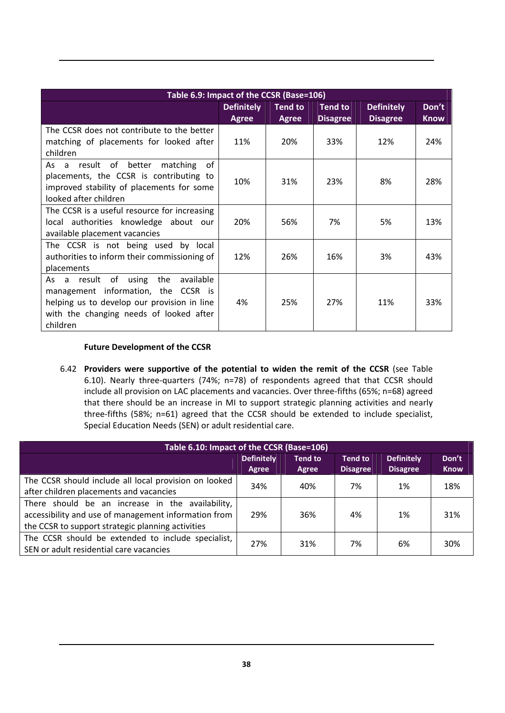| Table 6.9: Impact of the CCSR (Base=106)                                                                                                                                                       |                                   |                                |                                   |                                      |                      |  |
|------------------------------------------------------------------------------------------------------------------------------------------------------------------------------------------------|-----------------------------------|--------------------------------|-----------------------------------|--------------------------------------|----------------------|--|
|                                                                                                                                                                                                | <b>Definitely</b><br><b>Agree</b> | <b>Tend to</b><br><b>Agree</b> | <b>Tend to</b><br><b>Disagree</b> | <b>Definitely</b><br><b>Disagree</b> | Don't<br><b>Know</b> |  |
| The CCSR does not contribute to the better<br>matching of placements for looked after<br>children                                                                                              | 11%                               | 20%                            | 33%                               | 12%                                  | 24%                  |  |
| result of<br>better<br>0f<br>As<br>matching<br>$\overline{a}$<br>placements, the CCSR is contributing to<br>improved stability of placements for some<br>looked after children                 | 10%                               | 31%                            | 23%                               | 8%                                   | 28%                  |  |
| The CCSR is a useful resource for increasing<br>local authorities knowledge about our<br>available placement vacancies                                                                         | 20%                               | 56%                            | 7%                                | 5%                                   | 13%                  |  |
| The CCSR is not being used by local<br>authorities to inform their commissioning of<br>placements                                                                                              | 12%                               | 26%                            | 16%                               | 3%                                   | 43%                  |  |
| result of<br>the<br>available<br>using<br>As<br>a<br>management information, the CCSR is<br>helping us to develop our provision in line<br>with the changing needs of looked after<br>children | 4%                                | 25%                            | 27%                               | 11%                                  | 33%                  |  |

#### **Future Development of the CCSR**

6.42 **Providers were supportive of the potential to widen the remit of the CCSR** (see Table 6.10). Nearly three‐quarters (74%; n=78) of respondents agreed that that CCSR should include all provision on LAC placements and vacancies. Over three-fifths (65%; n=68) agreed that there should be an increase in MI to support strategic planning activities and nearly three-fifths (58%; n=61) agreed that the CCSR should be extended to include specialist, Special Education Needs (SEN) or adult residential care.

| Table 6.10: Impact of the CCSR (Base=106)                                                                                                                     |                            |                         |                                   |                                      |                      |  |
|---------------------------------------------------------------------------------------------------------------------------------------------------------------|----------------------------|-------------------------|-----------------------------------|--------------------------------------|----------------------|--|
|                                                                                                                                                               | <b>Definitely</b><br>Agree | <b>Tend to</b><br>Agree | <b>Tend to</b><br><b>Disagree</b> | <b>Definitely</b><br><b>Disagree</b> | Don't<br><b>Know</b> |  |
| The CCSR should include all local provision on looked<br>after children placements and vacancies                                                              | 34%                        | 40%                     | 7%                                | 1%                                   | 18%                  |  |
| There should be an increase in the availability,<br>accessibility and use of management information from<br>the CCSR to support strategic planning activities | 29%                        | 36%                     | 4%                                | 1%                                   | 31%                  |  |
| The CCSR should be extended to include specialist,<br>SEN or adult residential care vacancies                                                                 | 27%                        | 31%                     | 7%                                | 6%                                   | 30%                  |  |